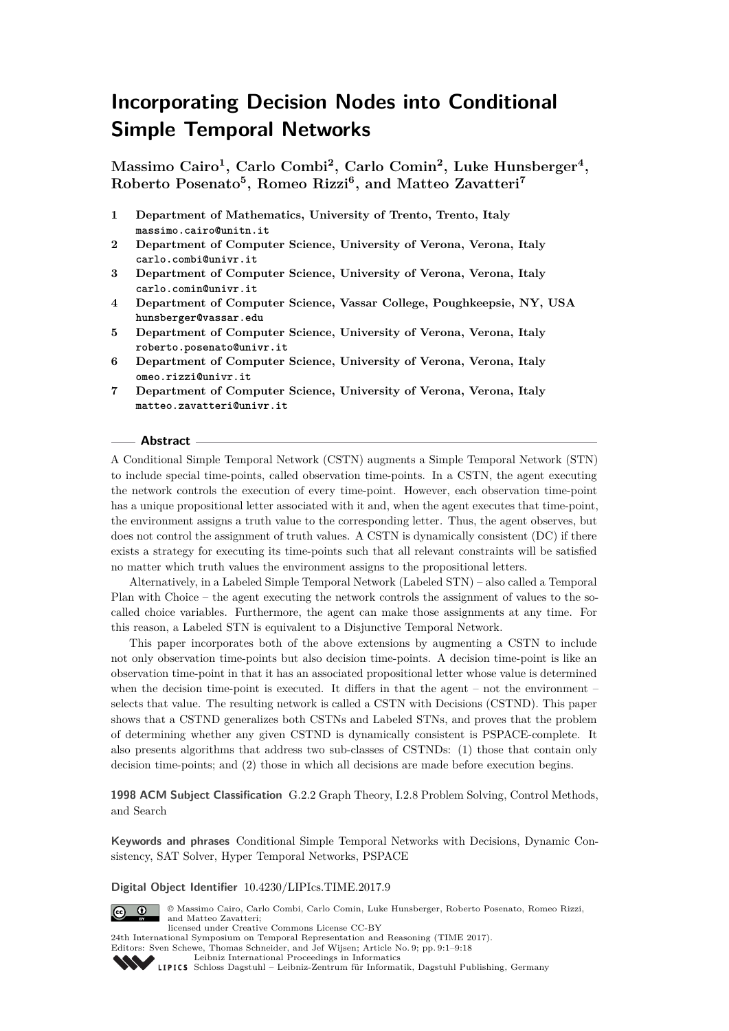# **Incorporating Decision Nodes into Conditional Simple Temporal Networks**

**Massimo Cairo<sup>1</sup> , Carlo Combi<sup>2</sup> , Carlo Comin<sup>2</sup> , Luke Hunsberger<sup>4</sup> , Roberto Posenato<sup>5</sup> , Romeo Rizzi<sup>6</sup> , and Matteo Zavatteri<sup>7</sup>**

- **1 Department of Mathematics, University of Trento, Trento, Italy massimo.cairo@unitn.it**
- **2 Department of Computer Science, University of Verona, Verona, Italy carlo.combi@univr.it**
- **3 Department of Computer Science, University of Verona, Verona, Italy carlo.comin@univr.it**
- **4 Department of Computer Science, Vassar College, Poughkeepsie, NY, USA hunsberger@vassar.edu**
- **5 Department of Computer Science, University of Verona, Verona, Italy roberto.posenato@univr.it**
- **6 Department of Computer Science, University of Verona, Verona, Italy omeo.rizzi@univr.it**
- **7 Department of Computer Science, University of Verona, Verona, Italy matteo.zavatteri@univr.it**

#### **Abstract**

A Conditional Simple Temporal Network (CSTN) augments a Simple Temporal Network (STN) to include special time-points, called observation time-points. In a CSTN, the agent executing the network controls the execution of every time-point. However, each observation time-point has a unique propositional letter associated with it and, when the agent executes that time-point, the environment assigns a truth value to the corresponding letter. Thus, the agent observes, but does not control the assignment of truth values. A CSTN is dynamically consistent (DC) if there exists a strategy for executing its time-points such that all relevant constraints will be satisfied no matter which truth values the environment assigns to the propositional letters.

Alternatively, in a Labeled Simple Temporal Network (Labeled STN) – also called a Temporal Plan with Choice – the agent executing the network controls the assignment of values to the socalled choice variables. Furthermore, the agent can make those assignments at any time. For this reason, a Labeled STN is equivalent to a Disjunctive Temporal Network.

This paper incorporates both of the above extensions by augmenting a CSTN to include not only observation time-points but also decision time-points. A decision time-point is like an observation time-point in that it has an associated propositional letter whose value is determined when the decision time-point is executed. It differs in that the agent – not the environment – selects that value. The resulting network is called a CSTN with Decisions (CSTND). This paper shows that a CSTND generalizes both CSTNs and Labeled STNs, and proves that the problem of determining whether any given CSTND is dynamically consistent is PSPACE-complete. It also presents algorithms that address two sub-classes of CSTNDs: (1) those that contain only decision time-points; and (2) those in which all decisions are made before execution begins.

**1998 ACM Subject Classification** G.2.2 Graph Theory, I.2.8 Problem Solving, Control Methods, and Search

**Keywords and phrases** Conditional Simple Temporal Networks with Decisions, Dynamic Consistency, SAT Solver, Hyper Temporal Networks, PSPACE

#### **Digital Object Identifier** [10.4230/LIPIcs.TIME.2017.9](http://dx.doi.org/10.4230/LIPIcs.TIME.2017.9)



© Massimo Cairo, Carlo Combi, Carlo Comin, Luke Hunsberger, Roberto Posenato, Romeo Rizzi, and Matteo Zavatteri;

licensed under Creative Commons License CC-BY

24th International Symposium on Temporal Representation and Reasoning (TIME 2017). Editors: Sven Schewe, Thomas Schneider, and Jef Wijsen; Article No. 9; pp. 9:1–9[:18](#page-17-0)

[Leibniz International Proceedings in Informatics](http://www.dagstuhl.de/lipics/)

[Schloss Dagstuhl – Leibniz-Zentrum für Informatik, Dagstuhl Publishing, Germany](http://www.dagstuhl.de)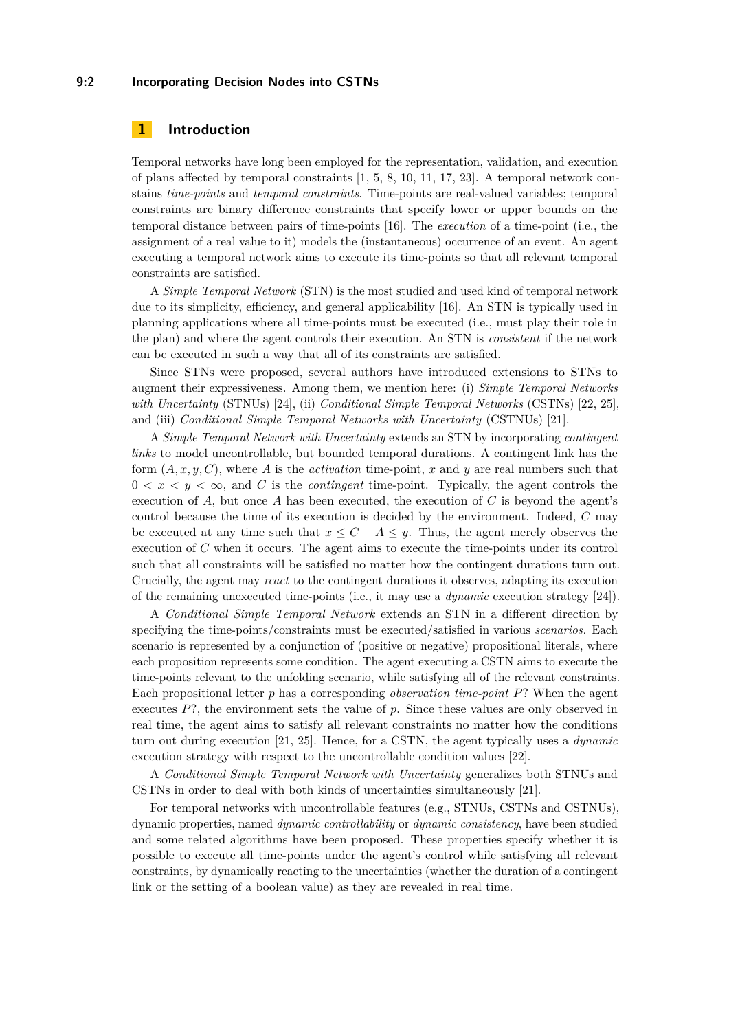#### **9:2 Incorporating Decision Nodes into CSTNs**

## **1 Introduction**

Temporal networks have long been employed for the representation, validation, and execution of plans affected by temporal constraints [\[1,](#page-15-0) [5,](#page-15-1) [8,](#page-15-2) [10,](#page-15-3) [11,](#page-15-4) [17,](#page-16-0) [23\]](#page-16-1). A temporal network constains *time-points* and *temporal constraints*. Time-points are real-valued variables; temporal constraints are binary difference constraints that specify lower or upper bounds on the temporal distance between pairs of time-points [\[16\]](#page-16-2). The *execution* of a time-point (i.e., the assignment of a real value to it) models the (instantaneous) occurrence of an event. An agent executing a temporal network aims to execute its time-points so that all relevant temporal constraints are satisfied.

A *Simple Temporal Network* (STN) is the most studied and used kind of temporal network due to its simplicity, efficiency, and general applicability [\[16\]](#page-16-2). An STN is typically used in planning applications where all time-points must be executed (i.e., must play their role in the plan) and where the agent controls their execution. An STN is *consistent* if the network can be executed in such a way that all of its constraints are satisfied.

Since STNs were proposed, several authors have introduced extensions to STNs to augment their expressiveness. Among them, we mention here: (i) *Simple Temporal Networks with Uncertainty* (STNUs) [\[24\]](#page-16-3), (ii) *Conditional Simple Temporal Networks* (CSTNs) [\[22,](#page-16-4) [25\]](#page-16-5), and (iii) *Conditional Simple Temporal Networks with Uncertainty* (CSTNUs) [\[21\]](#page-16-6).

A *Simple Temporal Network with Uncertainty* extends an STN by incorporating *contingent links* to model uncontrollable, but bounded temporal durations. A contingent link has the form (*A, x, y, C*), where *A* is the *activation* time-point, *x* and *y* are real numbers such that  $0 < x < y < \infty$ , and *C* is the *contingent* time-point. Typically, the agent controls the execution of *A*, but once *A* has been executed, the execution of *C* is beyond the agent's control because the time of its execution is decided by the environment. Indeed, *C* may be executed at any time such that  $x \leq C - A \leq y$ . Thus, the agent merely observes the execution of *C* when it occurs. The agent aims to execute the time-points under its control such that all constraints will be satisfied no matter how the contingent durations turn out. Crucially, the agent may *react* to the contingent durations it observes, adapting its execution of the remaining unexecuted time-points (i.e., it may use a *dynamic* execution strategy [\[24\]](#page-16-3)).

A *Conditional Simple Temporal Network* extends an STN in a different direction by specifying the time-points/constraints must be executed/satisfied in various *scenarios.* Each scenario is represented by a conjunction of (positive or negative) propositional literals, where each proposition represents some condition. The agent executing a CSTN aims to execute the time-points relevant to the unfolding scenario, while satisfying all of the relevant constraints. Each propositional letter *p* has a corresponding *observation time-point P*? When the agent executes *P*?, the environment sets the value of *p*. Since these values are only observed in real time, the agent aims to satisfy all relevant constraints no matter how the conditions turn out during execution [\[21,](#page-16-6) [25\]](#page-16-5). Hence, for a CSTN, the agent typically uses a *dynamic* execution strategy with respect to the uncontrollable condition values [\[22\]](#page-16-4).

A *Conditional Simple Temporal Network with Uncertainty* generalizes both STNUs and CSTNs in order to deal with both kinds of uncertainties simultaneously [\[21\]](#page-16-6).

For temporal networks with uncontrollable features (e.g., STNUs, CSTNs and CSTNUs), dynamic properties, named *dynamic controllability* or *dynamic consistency*, have been studied and some related algorithms have been proposed. These properties specify whether it is possible to execute all time-points under the agent's control while satisfying all relevant constraints, by dynamically reacting to the uncertainties (whether the duration of a contingent link or the setting of a boolean value) as they are revealed in real time.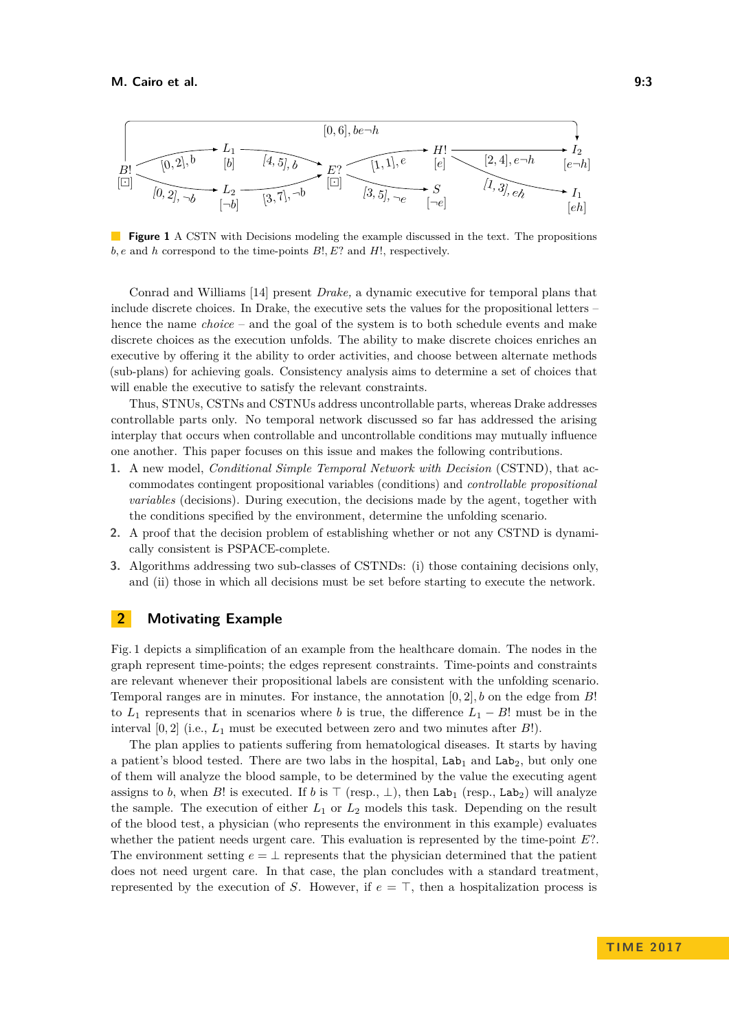<span id="page-2-0"></span>

**Figure 1** A CSTN with Decisions modeling the example discussed in the text. The propositions *b, e* and *h* correspond to the time-points *B*!*, E*? and *H*!, respectively.

Conrad and Williams [\[14\]](#page-16-7) present *Drake,* a dynamic executive for temporal plans that include discrete choices. In Drake, the executive sets the values for the propositional letters – hence the name *choice* – and the goal of the system is to both schedule events and make discrete choices as the execution unfolds. The ability to make discrete choices enriches an executive by offering it the ability to order activities, and choose between alternate methods (sub-plans) for achieving goals. Consistency analysis aims to determine a set of choices that will enable the executive to satisfy the relevant constraints.

Thus, STNUs, CSTNs and CSTNUs address uncontrollable parts, whereas Drake addresses controllable parts only. No temporal network discussed so far has addressed the arising interplay that occurs when controllable and uncontrollable conditions may mutually influence one another. This paper focuses on this issue and makes the following contributions.

- **1.** A new model, *Conditional Simple Temporal Network with Decision* (CSTND), that accommodates contingent propositional variables (conditions) and *controllable propositional variables* (decisions). During execution, the decisions made by the agent, together with the conditions specified by the environment, determine the unfolding scenario.
- **2.** A proof that the decision problem of establishing whether or not any CSTND is dynamically consistent is PSPACE-complete.
- **3.** Algorithms addressing two sub-classes of CSTNDs: (i) those containing decisions only, and (ii) those in which all decisions must be set before starting to execute the network.

## **2 Motivating Example**

[Fig. 1](#page-2-0) depicts a simplification of an example from the healthcare domain. The nodes in the graph represent time-points; the edges represent constraints. Time-points and constraints are relevant whenever their propositional labels are consistent with the unfolding scenario. Temporal ranges are in minutes. For instance, the annotation [0*,* 2]*, b* on the edge from *B*! to  $L_1$  represents that in scenarios where *b* is true, the difference  $L_1 - B!$  must be in the interval [0*,* 2] (i.e., *L*<sup>1</sup> must be executed between zero and two minutes after *B*!).

The plan applies to patients suffering from hematological diseases. It starts by having a patient's blood tested. There are two labs in the hospital,  $Lab<sub>1</sub>$  and  $Lab<sub>2</sub>$ , but only one of them will analyze the blood sample, to be determined by the value the executing agent assigns to *b*, when *B*! is executed. If *b* is  $\top$  (resp.,  $\bot$ ), then Lab<sub>1</sub> (resp., Lab<sub>2</sub>) will analyze the sample. The execution of either *L*<sup>1</sup> or *L*<sup>2</sup> models this task. Depending on the result of the blood test, a physician (who represents the environment in this example) evaluates whether the patient needs urgent care. This evaluation is represented by the time-point *E*?. The environment setting  $e = \perp$  represents that the physician determined that the patient does not need urgent care. In that case, the plan concludes with a standard treatment, represented by the execution of *S*. However, if  $e = \top$ , then a hospitalization process is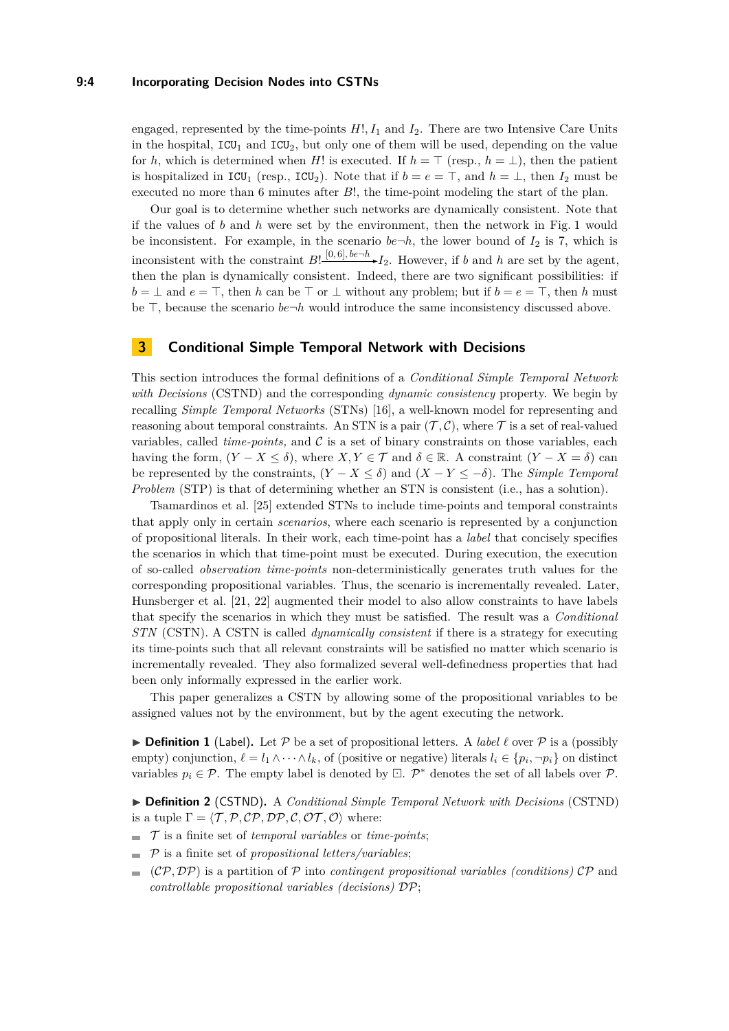#### **9:4 Incorporating Decision Nodes into CSTNs**

engaged, represented by the time-points  $H$ !,  $I_1$  and  $I_2$ . There are two Intensive Care Units in the hospital,  $ICU_1$  and  $ICU_2$ , but only one of them will be used, depending on the value for *h*, which is determined when *H*! is executed. If  $h = \top$  (resp.,  $h = \bot$ ), then the patient is hospitalized in ICU<sub>1</sub> (resp., ICU<sub>2</sub>). Note that if  $b = e = \top$ , and  $h = \bot$ , then  $I_2$  must be executed no more than 6 minutes after *B*!, the time-point modeling the start of the plan.

Our goal is to determine whether such networks are dynamically consistent. Note that if the values of *b* and *h* were set by the environment, then the network in [Fig. 1](#page-2-0) would be inconsistent. For example, in the scenario  $be\neg h$ , the lower bound of  $I_2$  is 7, which is inconsistent with the constraint  $B! \xrightarrow{[0,6], b\in \neg h} I_2$ . However, if *b* and *h* are set by the agent, then the plan is dynamically consistent. Indeed, there are two significant possibilities: if  $b = \perp$  and  $e = \top$ , then *h* can be  $\top$  or  $\perp$  without any problem; but if  $b = e = \top$ , then *h* must be  $\top$ , because the scenario  $be\neg h$  would introduce the same inconsistency discussed above.

# **3 Conditional Simple Temporal Network with Decisions**

This section introduces the formal definitions of a *Conditional Simple Temporal Network with Decisions* (CSTND) and the corresponding *dynamic consistency* property. We begin by recalling *Simple Temporal Networks* (STNs) [\[16\]](#page-16-2), a well-known model for representing and reasoning about temporal constraints. An STN is a pair  $(\mathcal{T}, \mathcal{C})$ , where  $\mathcal{T}$  is a set of real-valued variables, called *time-points*, and  $\mathcal C$  is a set of binary constraints on those variables, each having the form,  $(Y - X \le \delta)$ , where  $X, Y \in \mathcal{T}$  and  $\delta \in \mathbb{R}$ . A constraint  $(Y - X = \delta)$  can be represented by the constraints,  $(Y - X \le \delta)$  and  $(X - Y \le -\delta)$ . The *Simple Temporal Problem* (STP) is that of determining whether an STN is consistent (i.e., has a solution).

Tsamardinos et al. [\[25\]](#page-16-5) extended STNs to include time-points and temporal constraints that apply only in certain *scenarios*, where each scenario is represented by a conjunction of propositional literals. In their work, each time-point has a *label* that concisely specifies the scenarios in which that time-point must be executed. During execution, the execution of so-called *observation time-points* non-deterministically generates truth values for the corresponding propositional variables. Thus, the scenario is incrementally revealed. Later, Hunsberger et al. [\[21,](#page-16-6) [22\]](#page-16-4) augmented their model to also allow constraints to have labels that specify the scenarios in which they must be satisfied. The result was a *Conditional STN* (CSTN). A CSTN is called *dynamically consistent* if there is a strategy for executing its time-points such that all relevant constraints will be satisfied no matter which scenario is incrementally revealed. They also formalized several well-definedness properties that had been only informally expressed in the earlier work.

This paper generalizes a CSTN by allowing some of the propositional variables to be assigned values not by the environment, but by the agent executing the network.

 $\triangleright$  **Definition 1** (Label). Let P be a set of propositional letters. A *label*  $\ell$  over P is a (possibly empty) conjunction,  $\ell = l_1 \wedge \cdots \wedge l_k$ , of (positive or negative) literals  $l_i \in \{p_i, \neg p_i\}$  on distinct variables  $p_i \in \mathcal{P}$ . The empty label is denoted by  $\Box$ .  $\mathcal{P}^*$  denotes the set of all labels over  $\mathcal{P}$ .

I **Definition 2** (CSTND)**.** A *Conditional Simple Temporal Network with Decisions* (CSTND) is a tuple  $\Gamma = \langle \mathcal{T}, \mathcal{P}, \mathcal{CP}, \mathcal{DP}, \mathcal{C}, \mathcal{OT}, \mathcal{O} \rangle$  where:

- $\blacksquare$  *T* is a finite set of *temporal variables* or *time-points*;
- P is a finite set of *propositional letters/variables*;  $\overline{a}$
- $\blacksquare$  $({\cal CP}, {\cal DP})$  is a partition of  ${\cal P}$  into *contingent propositional variables (conditions)*  ${\cal CP}$  and *controllable propositional variables (decisions)* DP;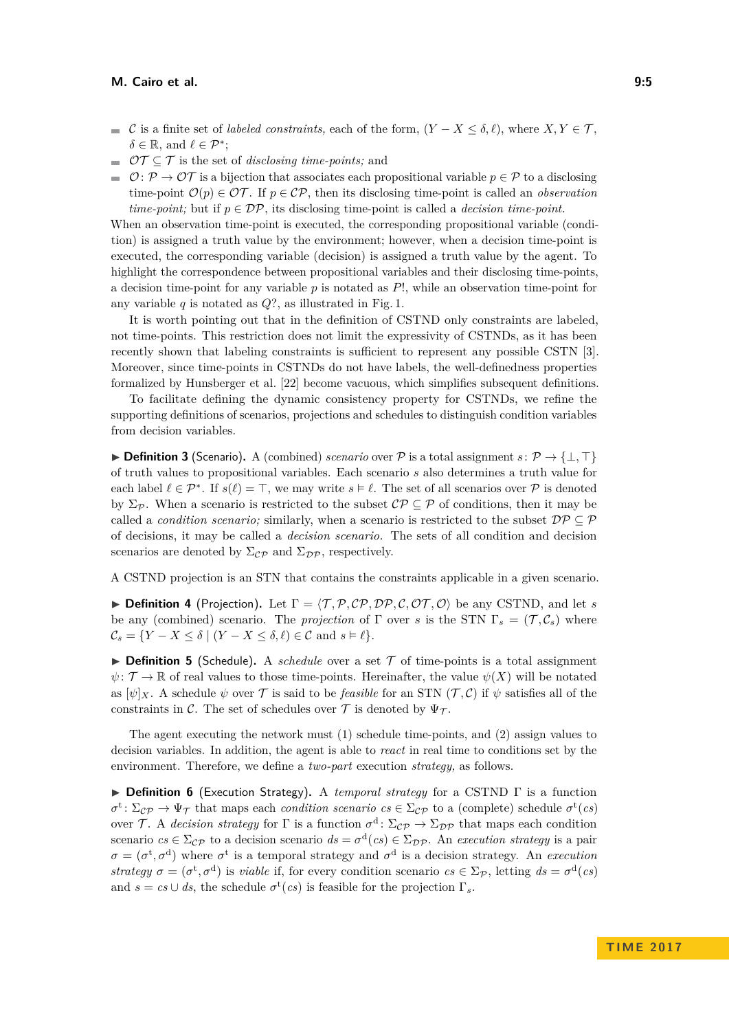- $\blacksquare$  C is a finite set of *labeled constraints*, each of the form,  $(Y X \leq \delta, \ell)$ , where  $X, Y \in \mathcal{T}$ ,  $\delta \in \mathbb{R}$ , and  $\ell \in \mathcal{P}^*$ ;
- OT ⊆ T is the set of *disclosing time-points;* and
- $\mathcal{O}: \mathcal{P} \to \mathcal{O}\mathcal{T}$  is a bijection that associates each propositional variable  $p \in \mathcal{P}$  to a disclosing time-point  $\mathcal{O}(p) \in \mathcal{OT}$ . If  $p \in \mathcal{CP}$ , then its disclosing time-point is called an *observation time-point*; but if  $p \in \mathcal{DP}$ , its disclosing time-point is called a *decision time-point*.

When an observation time-point is executed, the corresponding propositional variable (condition) is assigned a truth value by the environment; however, when a decision time-point is executed, the corresponding variable (decision) is assigned a truth value by the agent. To highlight the correspondence between propositional variables and their disclosing time-points, a decision time-point for any variable *p* is notated as *P*!, while an observation time-point for any variable *q* is notated as *Q*?, as illustrated in [Fig. 1.](#page-2-0)

It is worth pointing out that in the definition of CSTND only constraints are labeled, not time-points. This restriction does not limit the expressivity of CSTNDs, as it has been recently shown that labeling constraints is sufficient to represent any possible CSTN [\[3\]](#page-15-5). Moreover, since time-points in CSTNDs do not have labels, the well-definedness properties formalized by Hunsberger et al. [\[22\]](#page-16-4) become vacuous, which simplifies subsequent definitions.

To facilitate defining the dynamic consistency property for CSTNDs, we refine the supporting definitions of scenarios, projections and schedules to distinguish condition variables from decision variables.

**► Definition 3** (Scenario). A (combined) *scenario* over P is a total assignment  $s: \mathcal{P} \to \{\perp, \top\}$ of truth values to propositional variables. Each scenario *s* also determines a truth value for each label  $\ell \in \mathcal{P}^*$ . If  $s(\ell) = \top$ , we may write  $s \models \ell$ . The set of all scenarios over  $\mathcal P$  is denoted by  $\Sigma_{\mathcal{P}}$ . When a scenario is restricted to the subset  $\mathcal{CP} \subseteq \mathcal{P}$  of conditions, then it may be called a *condition scenario*; similarly, when a scenario is restricted to the subset  $\mathcal{DP} \subseteq \mathcal{P}$ of decisions, it may be called a *decision scenario.* The sets of all condition and decision scenarios are denoted by  $\Sigma_{\mathcal{CP}}$  and  $\Sigma_{\mathcal{DP}}$ , respectively.

A CSTND projection is an STN that contains the constraints applicable in a given scenario.

<span id="page-4-0"></span>**Definition 4** (Projection). Let  $\Gamma = \langle \mathcal{T}, \mathcal{P}, \mathcal{CP}, \mathcal{DP}, \mathcal{C}, \mathcal{OT}, \mathcal{O} \rangle$  be any CSTND, and let *s* be any (combined) scenario. The *projection* of  $\Gamma$  over *s* is the STN  $\Gamma_s = (\mathcal{T}, \mathcal{C}_s)$  where  $\mathcal{C}_s = \{ Y - X \leq \delta \mid (Y - X \leq \delta, \ell) \in \mathcal{C} \text{ and } s \models \ell \}.$ 

**Definition 5** (Schedule). A *schedule* over a set  $\mathcal T$  of time-points is a total assignment  $\psi: \mathcal{T} \to \mathbb{R}$  of real values to those time-points. Hereinafter, the value  $\psi(X)$  will be notated as  $[\psi]_X$ . A schedule  $\psi$  over T is said to be *feasible* for an STN  $(\mathcal{T}, \mathcal{C})$  if  $\psi$  satisfies all of the constraints in C. The set of schedules over  $\mathcal T$  is denoted by  $\Psi_{\mathcal T}$ .

The agent executing the network must (1) schedule time-points, and (2) assign values to decision variables. In addition, the agent is able to *react* in real time to conditions set by the environment. Therefore, we define a *two-part* execution *strategy,* as follows.

I **Definition 6** (Execution Strategy)**.** A *temporal strategy* for a CSTND Γ is a function  $\sigma^t$ :  $\Sigma_{\mathcal{CP}} \to \Psi_{\mathcal{T}}$  that maps each *condition scenario*  $cs \in \Sigma_{\mathcal{CP}}$  to a (complete) schedule  $\sigma^t (cs)$ over T. A *decision strategy* for  $\Gamma$  is a function  $\sigma^d \colon \Sigma_{\mathcal{CP}} \to \Sigma_{\mathcal{DP}}$  that maps each condition scenario  $cs \in \Sigma_{\mathcal{CP}}$  to a decision scenario  $ds = \sigma^d (cs) \in \Sigma_{\mathcal{DP}}$ . An *execution strategy* is a pair  $\sigma = (\sigma^t, \sigma^d)$  where  $\sigma^t$  is a temporal strategy and  $\sigma^d$  is a decision strategy. An *execution strategy*  $\sigma = (\sigma^t, \sigma^d)$  is *viable* if, for every condition scenario  $cs \in \Sigma_{\mathcal{P}}$ , letting  $ds = \sigma^d (cs)$ and  $s = cs \cup ds$ , the schedule  $\sigma^t (cs)$  is feasible for the projection  $\Gamma_s$ .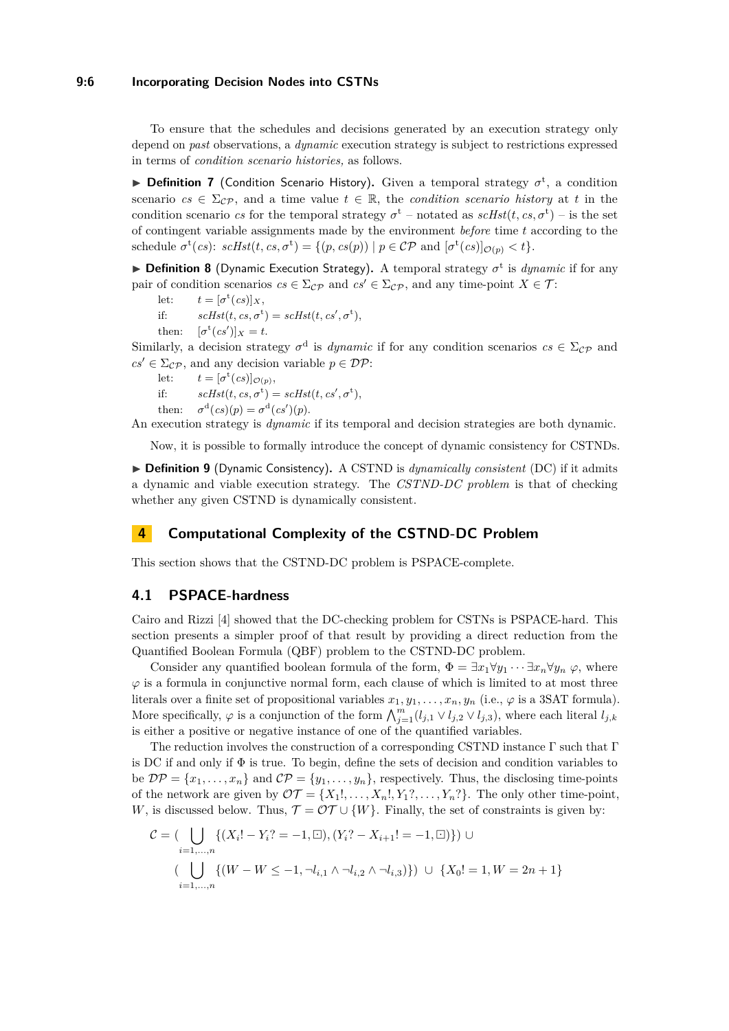#### **9:6 Incorporating Decision Nodes into CSTNs**

To ensure that the schedules and decisions generated by an execution strategy only depend on *past* observations, a *dynamic* execution strategy is subject to restrictions expressed in terms of *condition scenario histories,* as follows.

**Definition 7** (Condition Scenario History). Given a temporal strategy  $\sigma^t$ , a condition scenario  $cs \in \Sigma_{\mathcal{CP}}$ , and a time value  $t \in \mathbb{R}$ , the *condition scenario history* at t in the condition scenario *cs* for the temporal strategy  $\sigma^t$  – notated as  $scHst(t, cs, \sigma^t)$  – is the set of contingent variable assignments made by the environment *before* time *t* according to the schedule  $\sigma^t(cs)$ :  $scHst(t, cs, \sigma^t) = \{(p, cs(p)) \mid p \in \mathcal{CP} \text{ and } [\sigma^t(cs)]_{\mathcal{O}(p)} < t\}.$ 

**Definition 8** (Dynamic Execution Strategy). A temporal strategy  $\sigma^t$  is *dynamic* if for any pair of condition scenarios  $cs \in \Sigma_{\mathcal{CP}}$  and  $cs' \in \Sigma_{\mathcal{CP}}$ , and any time-point  $X \in \mathcal{T}$ :

```
let: t = [\sigma^{\text{t}}(cs)]_X,
if: scHst(t, cs, \sigma^t) = scHst(t, cs', \sigma^t),then: [\sigma^{\text{t}}(cs')]_X = t.
```
Similarly, a decision strategy  $\sigma^d$  is *dynamic* if for any condition scenarios  $cs \in \Sigma_{\mathcal{CP}}$  and  $cs' \in \Sigma_{\mathcal{CP}}$ , and any decision variable  $p \in \mathcal{DP}$ :

let:  $t = [\sigma^{\text{t}}(cs)]_{\mathcal{O}(p)},$ if:  $scHst(t, cs, \sigma^t) = scHst(t, cs', \sigma^t),$ then:  $\sigma^d(c\mathfrak{s})(p) = \sigma^d(c\mathfrak{s}')(p).$ 

An execution strategy is *dynamic* if its temporal and decision strategies are both dynamic.

Now, it is possible to formally introduce the concept of dynamic consistency for CSTNDs.

▶ **Definition 9** (Dynamic Consistency). A CSTND is *dynamically consistent* (DC) if it admits a dynamic and viable execution strategy. The *CSTND-DC problem* is that of checking whether any given CSTND is dynamically consistent.

## **4 Computational Complexity of the CSTND-DC Problem**

This section shows that the CSTND-DC problem is PSPACE-complete.

## **4.1 PSPACE-hardness**

Cairo and Rizzi [\[4\]](#page-15-6) showed that the DC-checking problem for CSTNs is PSPACE-hard. This section presents a simpler proof of that result by providing a direct reduction from the Quantified Boolean Formula (QBF) problem to the CSTND-DC problem.

Consider any quantified boolean formula of the form,  $\Phi = \exists x_1 \forall y_1 \cdots \exists x_n \forall y_n \varphi$ , where  $\varphi$  is a formula in conjunctive normal form, each clause of which is limited to at most three literals over a finite set of propositional variables  $x_1, y_1, \ldots, x_n, y_n$  (i.e.,  $\varphi$  is a 3SAT formula). More specifically,  $\varphi$  is a conjunction of the form  $\bigwedge_{j=1}^{m} (l_{j,1} \vee l_{j,2} \vee l_{j,3})$ , where each literal  $l_{j,k}$ is either a positive or negative instance of one of the quantified variables.

The reduction involves the construction of a corresponding CSTND instance  $\Gamma$  such that  $\Gamma$ is DC if and only if  $\Phi$  is true. To begin, define the sets of decision and condition variables to be  $DP = \{x_1, \ldots, x_n\}$  and  $CP = \{y_1, \ldots, y_n\}$ , respectively. Thus, the disclosing time-points of the network are given by  $\mathcal{OT} = \{X_1!, \ldots, X_n!, Y_1?, \ldots, Y_n?\}$ . The only other time-point, *W*, is discussed below. Thus,  $\mathcal{T} = \mathcal{OT} \cup \{W\}$ . Finally, the set of constraints is given by:

$$
\mathcal{C} = \left( \bigcup_{i=1,\dots,n} \{ (X_i! - Y_i? = -1, \square), (Y_i? - X_{i+1}! = -1, \square) \} \right) \cup
$$
  

$$
\left( \bigcup_{i=1,\dots,n} \{ (W - W \le -1, \neg l_{i,1} \land \neg l_{i,2} \land \neg l_{i,3}) \} \right) \cup \{ X_0! = 1, W = 2n + 1 \}
$$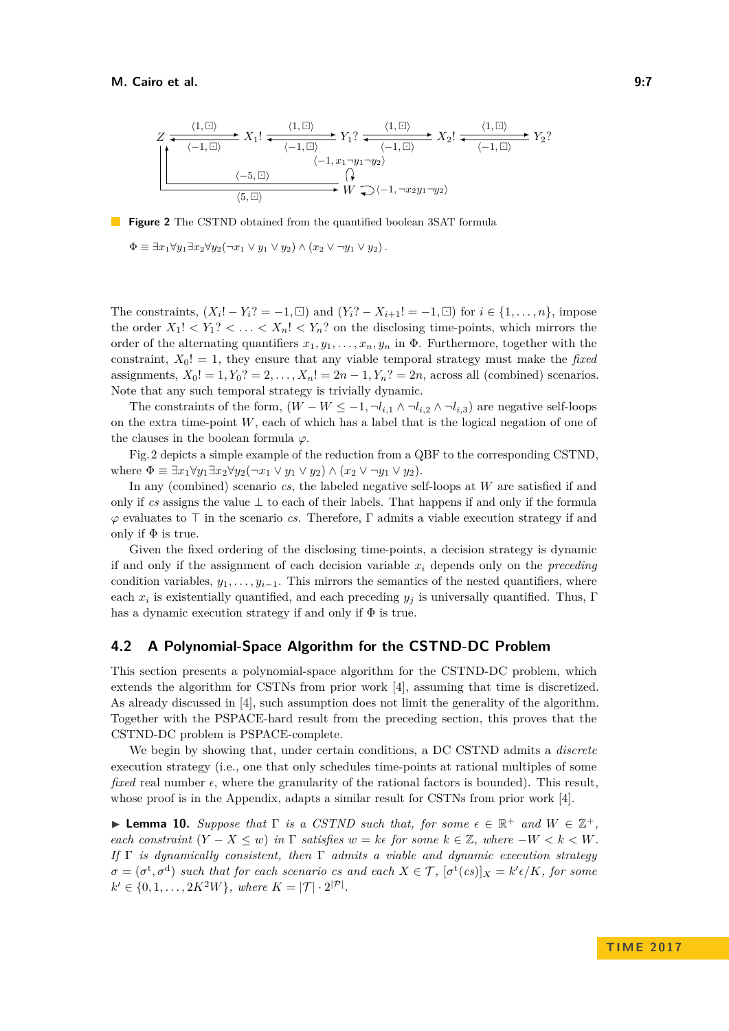<span id="page-6-0"></span>

**Figure 2** The CSTND obtained from the quantified boolean 3SAT formula

 $\Phi \equiv \exists x_1 \forall y_1 \exists x_2 \forall y_2 (\neg x_1 \lor y_1 \lor y_2) \land (x_2 \lor \neg y_1 \lor y_2).$ 

The constraints,  $(X_i! - Y_i? = -1, \square)$  and  $(Y_i? - X_{i+1}! = -1, \square)$  for  $i \in \{1, ..., n\}$ , impose the order  $X_1! < Y_1? < \ldots < X_n! < Y_n?$  on the disclosing time-points, which mirrors the order of the alternating quantifiers  $x_1, y_1, \ldots, x_n, y_n$  in  $\Phi$ . Furthermore, together with the constraint,  $X_0! = 1$ , they ensure that any viable temporal strategy must make the *fixed* assignments,  $X_0! = 1, Y_0? = 2, \ldots, X_n! = 2n - 1, Y_n? = 2n$ , across all (combined) scenarios. Note that any such temporal strategy is trivially dynamic.

The constraints of the form,  $(W - W \le -1, \neg l_{i,1} \wedge \neg l_{i,2} \wedge \neg l_{i,3})$  are negative self-loops on the extra time-point *W*, each of which has a label that is the logical negation of one of the clauses in the boolean formula *ϕ*.

[Fig. 2](#page-6-0) depicts a simple example of the reduction from a QBF to the corresponding CSTND, where  $\Phi \equiv \exists x_1 \forall y_1 \exists x_2 \forall y_2 (\neg x_1 \lor y_1 \lor y_2) \land (x_2 \lor \neg y_1 \lor y_2).$ 

In any (combined) scenario *cs*, the labeled negative self-loops at *W* are satisfied if and only if *cs* assigns the value ⊥ to each of their labels. That happens if and only if the formula  $\varphi$  evaluates to  $\top$  in the scenario *cs*. Therefore,  $\Gamma$  admits a viable execution strategy if and only if  $\Phi$  is true.

Given the fixed ordering of the disclosing time-points, a decision strategy is dynamic if and only if the assignment of each decision variable  $x_i$  depends only on the *preceding* condition variables,  $y_1, \ldots, y_{i-1}$ . This mirrors the semantics of the nested quantifiers, where each  $x_i$  is existentially quantified, and each preceding  $y_j$  is universally quantified. Thus, Γ has a dynamic execution strategy if and only if  $\Phi$  is true.

## **4.2 A Polynomial-Space Algorithm for the CSTND-DC Problem**

This section presents a polynomial-space algorithm for the CSTND-DC problem, which extends the algorithm for CSTNs from prior work [\[4\]](#page-15-6), assuming that time is discretized. As already discussed in [\[4\]](#page-15-6), such assumption does not limit the generality of the algorithm. Together with the PSPACE-hard result from the preceding section, this proves that the CSTND-DC problem is PSPACE-complete.

We begin by showing that, under certain conditions, a DC CSTND admits a *discrete* execution strategy (i.e., one that only schedules time-points at rational multiples of some *fixed* real number  $\epsilon$ , where the granularity of the rational factors is bounded). This result, whose proof is in the Appendix, adapts a similar result for CSTNs from prior work [\[4\]](#page-15-6).

<span id="page-6-1"></span>**Lemma 10.** Suppose that  $\Gamma$  is a CSTND such that, for some  $\epsilon \in \mathbb{R}^+$  and  $W \in \mathbb{Z}^+$ , *each constraint*  $(Y - X \leq w)$  *in*  $\Gamma$  *satisfies*  $w = k\epsilon$  *for some*  $k \in \mathbb{Z}$ *, where*  $-W < k < W$ *. If* Γ *is dynamically consistent, then* Γ *admits a viable and dynamic execution strategy*  $\sigma = (\sigma^t, \sigma^d)$  *such that for each scenario cs and each*  $X \in \mathcal{T}$ *,*  $[\sigma^t (cs)]_X = k' \epsilon/K$ *, for some*  $k' \in \{0, 1, \ldots, 2K^2W\}$ , where  $K = |\mathcal{T}| \cdot 2^{|\mathcal{P}|}$ .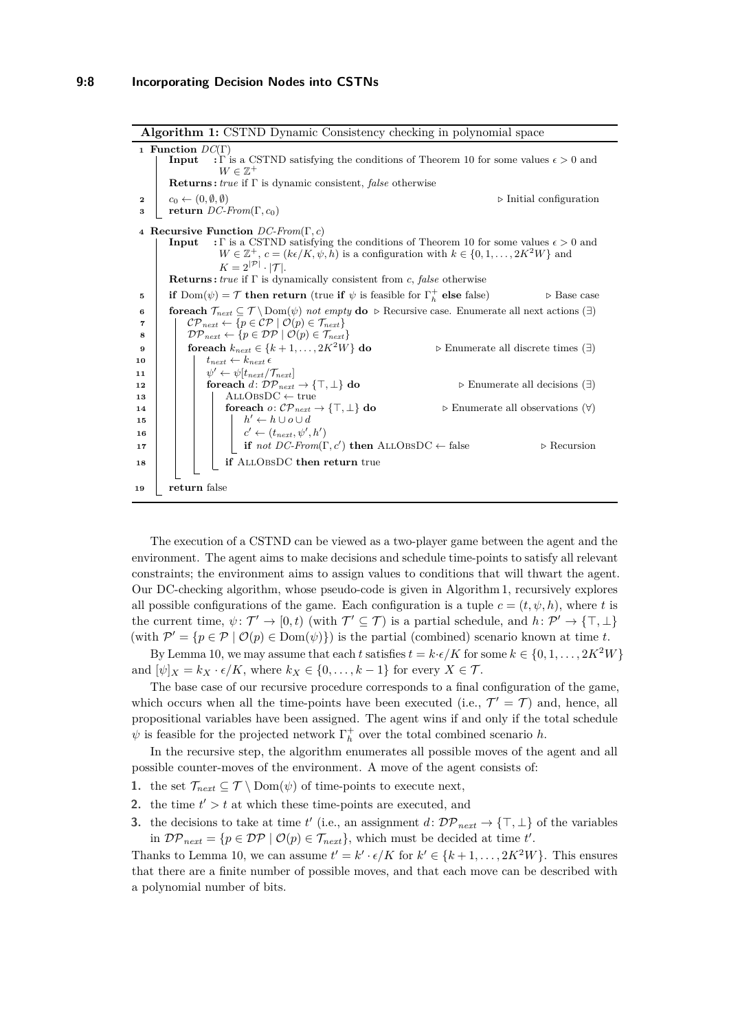|                       | <b>Algorithm 1:</b> CSTND Dynamic Consistency checking in polynomial space                                                                                                                                                                                                                                                                                                                                       |
|-----------------------|------------------------------------------------------------------------------------------------------------------------------------------------------------------------------------------------------------------------------------------------------------------------------------------------------------------------------------------------------------------------------------------------------------------|
|                       | 1 Function $DC(\Gamma)$<br>: $\Gamma$ is a CSTND satisfying the conditions of Theorem 10 for some values $\epsilon > 0$ and<br>Input<br>$W \in \mathbb{Z}^+$                                                                                                                                                                                                                                                     |
|                       | <b>Returns:</b> true if $\Gamma$ is dynamic consistent, <i>false</i> otherwise                                                                                                                                                                                                                                                                                                                                   |
| $\boldsymbol{2}$<br>3 | $c_0 \leftarrow (0, \emptyset, \emptyset)$<br>$\triangleright$ Initial configuration<br>return $DC\text{-}From(\Gamma, c_0)$                                                                                                                                                                                                                                                                                     |
|                       | 4 Recursive Function $DC\text{-}From(\Gamma, c)$<br>: $\Gamma$ is a CSTND satisfying the conditions of Theorem 10 for some values $\epsilon > 0$ and<br>Input<br>$W \in \mathbb{Z}^+$ , $c = (k\epsilon/K, \psi, h)$ is a configuration with $k \in \{0, 1, , 2K^2W\}$ and<br>$K = 2^{ \mathcal{P} } \cdot  \mathcal{T} .$<br><b>Returns:</b> true if $\Gamma$ is dynamically consistent from c, false otherwise |
| 5                     | if $Dom(\psi) = \mathcal{T}$ then return (true if $\psi$ is feasible for $\Gamma_h^+$ else false)<br>$\triangleright$ Base case                                                                                                                                                                                                                                                                                  |
| 6<br>7<br>8           | <b>foreach</b> $\mathcal{T}_{next} \subseteq \mathcal{T} \setminus \text{Dom}(\psi)$ not empty <b>do</b> $\triangleright$ Recursive case. Enumerate all next actions $(\exists)$<br>$\mathcal{CP}_{next} \leftarrow \{p \in \mathcal{CP} \mid \mathcal{O}(p) \in \mathcal{T}_{next}\}\$<br>$\mathcal{DP}_{next} \leftarrow \{p \in \mathcal{DP} \mid \mathcal{O}(p) \in \mathcal{T}_{next}\}\$                   |
| 9                     | for each $k_{\text{next}} \in \{k+1, \ldots, 2K^2W\}$ do<br>$\triangleright$ Enumerate all discrete times ( $\exists$ )                                                                                                                                                                                                                                                                                          |
| 10                    | $t_{\text{next}} \leftarrow k_{\text{next}} \epsilon$                                                                                                                                                                                                                                                                                                                                                            |
| 11<br>12              | $\psi' \leftarrow \psi[t_{next}/\mathcal{T}_{next}]$<br>for<br>each $d\colon \mathcal{DP}_{\mathit{next}} \to \{\top, \bot\}$ do<br>$\triangleright$ Enumerate all decisions ( $\exists$ )<br>$ALLOBSDC \leftarrow true$                                                                                                                                                                                         |
| 13<br>14              | for each $o: \mathcal{CP}_{next} \rightarrow \{\top, \bot\}$ do<br>$\triangleright$ Enumerate all observations $(\forall)$                                                                                                                                                                                                                                                                                       |
| 15                    |                                                                                                                                                                                                                                                                                                                                                                                                                  |
| 16                    |                                                                                                                                                                                                                                                                                                                                                                                                                  |
| 17                    | $\begin{array}{c}\n h' \leftarrow h \cup o \cup d \\  c' \leftarrow (t_{next}, \psi', h') \\  \text{if } not \ DC\text{-}From(\Gamma, c') \text{ then ALLOBSDC} \leftarrow false\n\end{array}$<br>$\triangleright$ Recursion                                                                                                                                                                                     |
| 18                    | if ALLOBSDC then return true                                                                                                                                                                                                                                                                                                                                                                                     |
| 19                    | return false                                                                                                                                                                                                                                                                                                                                                                                                     |

<span id="page-7-0"></span>

The execution of a CSTND can be viewed as a two-player game between the agent and the environment. The agent aims to make decisions and schedule time-points to satisfy all relevant constraints; the environment aims to assign values to conditions that will thwart the agent. Our DC-checking algorithm, whose pseudo-code is given in [Algorithm 1,](#page-7-0) recursively explores all possible configurations of the game. Each configuration is a tuple  $c = (t, \psi, h)$ , where *t* is the current time,  $\psi \colon \mathcal{T}' \to [0, t)$  (with  $\mathcal{T}' \subseteq \mathcal{T}$ ) is a partial schedule, and  $h \colon \mathcal{P}' \to \{\top, \bot\}$  $(\text{with } \mathcal{P}' = \{p \in \mathcal{P} \mid \mathcal{O}(p) \in \text{Dom}(\psi)\})$  is the partial (combined) scenario known at time *t*.

By Lemma [10,](#page-6-1) we may assume that each *t* satisfies  $t = k \cdot \epsilon/K$  for some  $k \in \{0, 1, \ldots, 2K^2W\}$ and  $[\psi]_X = k_X \cdot \epsilon/K$ , where  $k_X \in \{0, \ldots, k-1\}$  for every  $X \in \mathcal{T}$ .

The base case of our recursive procedure corresponds to a final configuration of the game, which occurs when all the time-points have been executed (i.e.,  $\mathcal{T}' = \mathcal{T}$ ) and, hence, all propositional variables have been assigned. The agent wins if and only if the total schedule  $\psi$  is feasible for the projected network  $\Gamma_h^+$  over the total combined scenario *h*.

In the recursive step, the algorithm enumerates all possible moves of the agent and all possible counter-moves of the environment. A move of the agent consists of:

- **1.** the set  $\mathcal{T}_{next} \subseteq \mathcal{T} \setminus \text{Dom}(\psi)$  of time-points to execute next,
- **2.** the time  $t' > t$  at which these time-points are executed, and
- **3.** the decisions to take at time *t*<sup>'</sup> (i.e., an assignment *d*:  $\mathcal{DP}_{next} \to \{\top, \bot\}$  of the variables in  $\mathcal{DP}_{next} = \{p \in \mathcal{DP} \mid \mathcal{O}(p) \in \mathcal{T}_{next}\},\$  which must be decided at time *t'*.

Thanks to Lemma [10,](#page-6-1) we can assume  $t' = k' \cdot \epsilon/K$  for  $k' \in \{k+1, \ldots, 2K^2W\}$ . This ensures that there are a finite number of possible moves, and that each move can be described with a polynomial number of bits.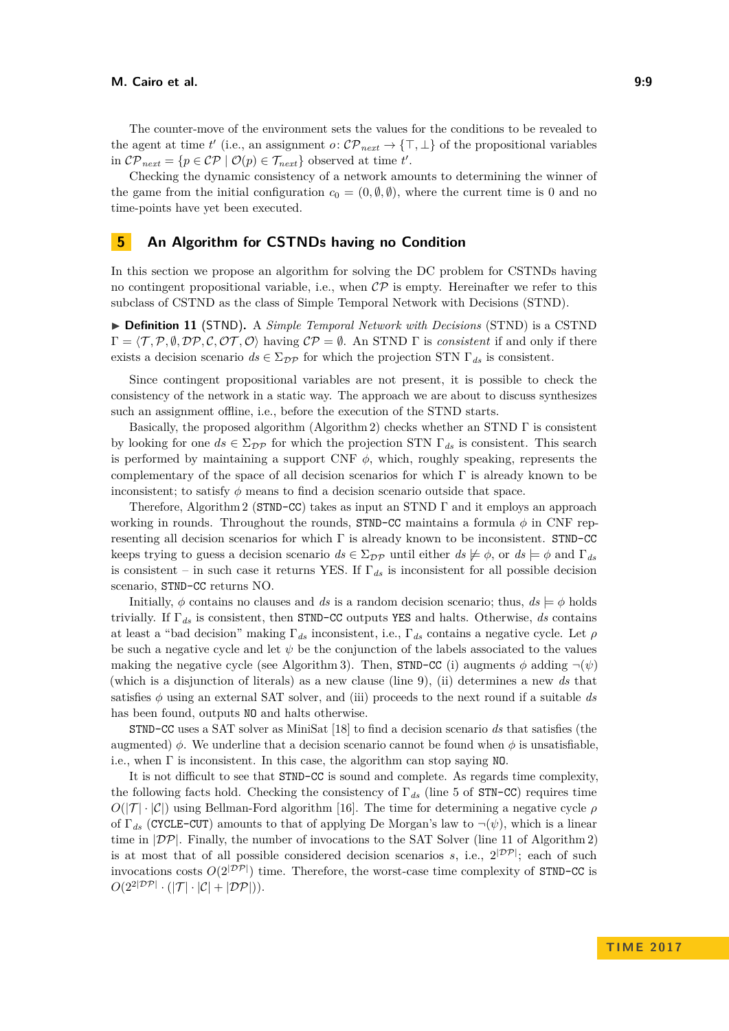The counter-move of the environment sets the values for the conditions to be revealed to the agent at time *t'* (i.e., an assignment *o*:  $\mathcal{CP}_{next} \to \{\top, \bot\}$  of the propositional variables in  $\mathcal{CP}_{next} = \{p \in \mathcal{CP} \mid \mathcal{O}(p) \in \mathcal{T}_{next}\}\$ observed at time  $t'$ .

Checking the dynamic consistency of a network amounts to determining the winner of the game from the initial configuration  $c_0 = (0, \emptyset, \emptyset)$ , where the current time is 0 and no time-points have yet been executed.

### <span id="page-8-0"></span>**5 An Algorithm for CSTNDs having no Condition**

In this section we propose an algorithm for solving the DC problem for CSTNDs having no contingent propositional variable, i.e., when  $\mathcal{CP}$  is empty. Hereinafter we refer to this subclass of CSTND as the class of Simple Temporal Network with Decisions (STND).

▶ **Definition 11** (STND). A *Simple Temporal Network with Decisions* (STND) is a CSTND  $\Gamma = \langle T, P, \emptyset, \mathcal{DP}, \mathcal{C}, \mathcal{OT}, \mathcal{O} \rangle$  having  $\mathcal{CP} = \emptyset$ . An STND  $\Gamma$  is *consistent* if and only if there exists a decision scenario  $ds \in \Sigma_{\mathcal{DP}}$  for which the projection STN  $\Gamma_{ds}$  is consistent.

Since contingent propositional variables are not present, it is possible to check the consistency of the network in a static way. The approach we are about to discuss synthesizes such an assignment offline, i.e., before the execution of the STND starts.

Basically, the proposed algorithm [\(Algorithm 2\)](#page-9-0) checks whether an STND  $\Gamma$  is consistent by looking for one  $ds \in \Sigma_{\mathcal{DP}}$  for which the projection STN  $\Gamma_{ds}$  is consistent. This search is performed by maintaining a support CNF  $\phi$ , which, roughly speaking, represents the complementary of the space of all decision scenarios for which Γ is already known to be inconsistent; to satisfy  $\phi$  means to find a decision scenario outside that space.

Therefore, [Algorithm 2](#page-9-0) (STND-CC) takes as input an STND  $\Gamma$  and it employs an approach working in rounds. Throughout the rounds, STND-CC maintains a formula *φ* in CNF representing all decision scenarios for which Γ is already known to be inconsistent. STND-CC keeps trying to guess a decision scenario  $ds \in \Sigma_{\mathcal{DP}}$  until either  $ds \not\models \phi$ , or  $ds \models \phi$  and  $\Gamma_{ds}$ is consistent – in such case it returns YES. If Γ*ds* is inconsistent for all possible decision scenario, STND-CC returns NO.

Initially,  $\phi$  contains no clauses and *ds* is a random decision scenario; thus,  $ds \models \phi$  holds trivially. If Γ*ds* is consistent, then STND-CC outputs YES and halts. Otherwise, *ds* contains at least a "bad decision" making Γ*ds* inconsistent, i.e., Γ*ds* contains a negative cycle. Let *ρ* be such a negative cycle and let  $\psi$  be the conjunction of the labels associated to the values making the negative cycle (see [Algorithm 3\)](#page-9-1). Then, STND-CC (i) augments  $\phi$  adding  $\neg(\psi)$ (which is a disjunction of literals) as a new clause [\(line 9\)](#page-9-2), (ii) determines a new *ds* that satisfies  $\phi$  using an external SAT solver, and (iii) proceeds to the next round if a suitable ds has been found, outputs  $NO$  and halts otherwise.

STND-CC uses a SAT solver as MiniSat [\[18\]](#page-16-8) to find a decision scenario *ds* that satisfies (the augmented)  $\phi$ . We underline that a decision scenario cannot be found when  $\phi$  is unsatisfiable. i.e., when Γ is inconsistent. In this case, the algorithm can stop saying NO.

It is not difficult to see that STND-CC is sound and complete. As regards time complexity, the following facts hold. Checking the consistency of Γ*ds* (line [5](#page-9-3) of STN-CC) requires time  $O(|\mathcal{T}| \cdot |\mathcal{C}|)$  using Bellman-Ford algorithm [\[16\]](#page-16-2). The time for determining a negative cycle  $\rho$ of  $\Gamma_{ds}$  (CYCLE-CUT) amounts to that of applying De Morgan's law to  $\neg(\psi)$ , which is a linear time in  $|\mathcal{DP}|$ . Finally, the number of invocations to the SAT Solver (line [11](#page-9-4) of [Algorithm 2\)](#page-9-0) is at most that of all possible considered decision scenarios *s*, i.e.,  $2^{|\mathcal{DP}|}$ ; each of such invocations costs  $O(2^{|\mathcal{DP}|})$  time. Therefore, the worst-case time complexity of STND-CC is  $O(2^{2|\mathcal{DP}|} \cdot (|\mathcal{T}| \cdot |\mathcal{C}| + |\mathcal{DP}|)).$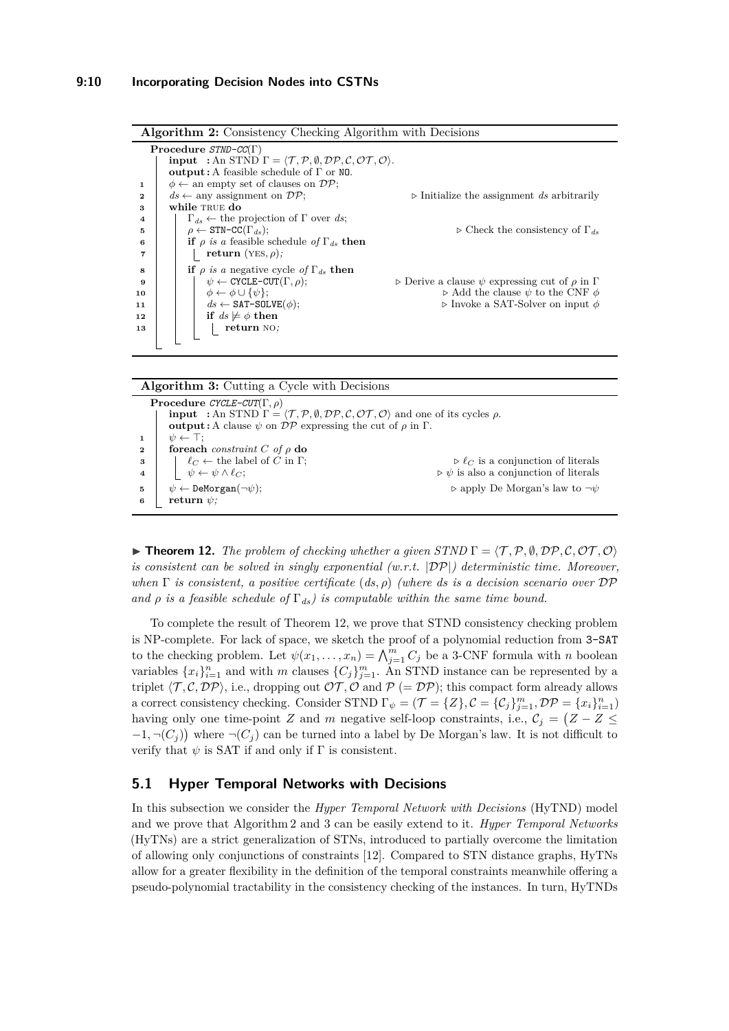#### **9:10 Incorporating Decision Nodes into CSTNs**

<span id="page-9-3"></span><span id="page-9-0"></span>**Algorithm 2:** Consistency Checking Algorithm with Decisions **Procedure** *STND-CC*(Γ) **input** : An STND  $\Gamma = \langle \mathcal{T}, \mathcal{P}, \emptyset, \mathcal{DP}, \mathcal{C}, \mathcal{OT}, \mathcal{O} \rangle$ . **output :** A feasible schedule of Γ or NO.  $\phi \leftarrow$  an empty set of clauses on  $\mathcal{DP}$ ; *ds* ← any assignment on  $\mathcal{DP}$ ;  $\triangleright$  Initialize the assignment *ds* arbitrarily **while** true **do**  $\Gamma_{ds} \leftarrow$  the projection of  $\Gamma$  over *ds*;<br>**5**  $\rho \leftarrow \text{STN-CC}(\Gamma_{ds});$   $\rho \leftarrow \text{STN-CC}(\Gamma_{ds});$   $\rho \leftarrow \text{STN-CC}(\Gamma_{ds})$ ; **i if**  $\rho$  *is a* feasible schedule *of*  $\Gamma_{ds}$  **then return** (yes*, ρ*)*;* **if**  $\rho$  *is a* negative cycle *of*  $\Gamma_{ds}$  **then**<br>**9**  $\psi \leftarrow \text{CYCLE-CUT}(\Gamma, \rho);$  *ψ* ← CYCLE-CUT(Γ*, ρ*);  $\triangleright$  Derive a clause  $\psi$  expressing cut of  $\rho$  in Γ  $\phi \leftarrow \phi \cup \{\psi\};$ <br> **11**  $ds \leftarrow \text{SAT-SOLVE}(\phi);$   $\phi$   $\rightarrow$  Invoke a SAT-Solver on input  $\phi$  **ds** ← **SAT-SOLVE(** $\phi$ );  $\phi$  **b** Invoke a SAT-Solver on input  $\phi$  **if**  $ds \neq \phi$  **then return** no*;*

<span id="page-9-6"></span><span id="page-9-4"></span><span id="page-9-2"></span>**Algorithm 3:** Cutting a Cycle with Decisions

<span id="page-9-7"></span><span id="page-9-1"></span>**Procedure** *CYCLE-CUT*(Γ*, ρ*) **input** : An STND  $\Gamma = \langle \mathcal{T}, \mathcal{P}, \emptyset, \mathcal{DP}, \mathcal{C}, \mathcal{OT}, \mathcal{O} \rangle$  and one of its cycles  $\rho$ . **output :** A clause  $\psi$  on  $\mathcal{DP}$  expressing the cut of  $\rho$  in  $\Gamma$ .  $\psi \leftarrow \top$  **foreach** *constraint C of ρ* **do**  $\downarrow \ell_C \leftarrow$  the label of  $\overline{C}$  in Γ;  $\downarrow \ell_C$  is a conjunction of literals  $\psi \leftarrow \psi \wedge \ell_c;$   $\triangleright \psi$  is also a conjunction of literals  $\psi \leftarrow \text{DeMorgan}(\neg \psi);$   $\triangleright$  apply De Morgan's law to  $\neg \psi$ **return**  $\psi$ *;* 

<span id="page-9-8"></span><span id="page-9-5"></span>**Figure 12.** *The problem of checking whether a given STND*  $\Gamma = \langle T, P, \emptyset, \mathcal{DP}, \mathcal{C}, \mathcal{OT}, \mathcal{O} \rangle$ *is consistent can be solved in singly exponential (w.r.t.* |DP|*) deterministic time. Moreover, when* Γ *is consistent, a positive certificate* (*ds, ρ*) *(where ds is a decision scenario over* DP *and*  $\rho$  *is a feasible schedule of*  $\Gamma_{ds}$ *) is computable within the same time bound.* 

To complete the result of [Theorem 12,](#page-9-5) we prove that STND consistency checking problem is NP-complete. For lack of space, we sketch the proof of a polynomial reduction from 3-SAT to the checking problem. Let  $\psi(x_1, \ldots, x_n) = \bigwedge_{j=1}^m C_j$  be a 3-CNF formula with *n* boolean variables  ${x_i}_{i=1}^n$  and with *m* clauses  ${C_j}_{j=1}^m$ . An STND instance can be represented by a triplet  $\langle \mathcal{T}, \mathcal{C}, \mathcal{DP} \rangle$ , i.e., dropping out  $\mathcal{OT}, \mathcal{O}$  and  $\mathcal{P}$  (= DP); this compact form already allows a correct consistency checking. Consider STND  $\Gamma_{\psi} = (\mathcal{T} = \{Z\}, \mathcal{C} = \{\mathcal{C}_j\}_{j=1}^m, \mathcal{DP} = \{x_i\}_{i=1}^n)$ having only one time-point *Z* and *m* negative self-loop constraints, i.e.,  $\mathcal{C}_j = (Z - Z \leq$  $(1, \neg(C_j))$  where  $\neg(C_j)$  can be turned into a label by De Morgan's law. It is not difficult to verify that  $\psi$  is SAT if and only if  $\Gamma$  is consistent.

## **5.1 Hyper Temporal Networks with Decisions**

In this subsection we consider the *Hyper Temporal Network with Decisions* (HyTND) model and we prove that [Algorithm 2](#page-9-0) and [3](#page-9-1) can be easily extend to it. *Hyper Temporal Networks* (HyTNs) are a strict generalization of STNs, introduced to partially overcome the limitation of allowing only conjunctions of constraints [\[12\]](#page-15-7). Compared to STN distance graphs, HyTNs allow for a greater flexibility in the definition of the temporal constraints meanwhile offering a pseudo-polynomial tractability in the consistency checking of the instances. In turn, HyTNDs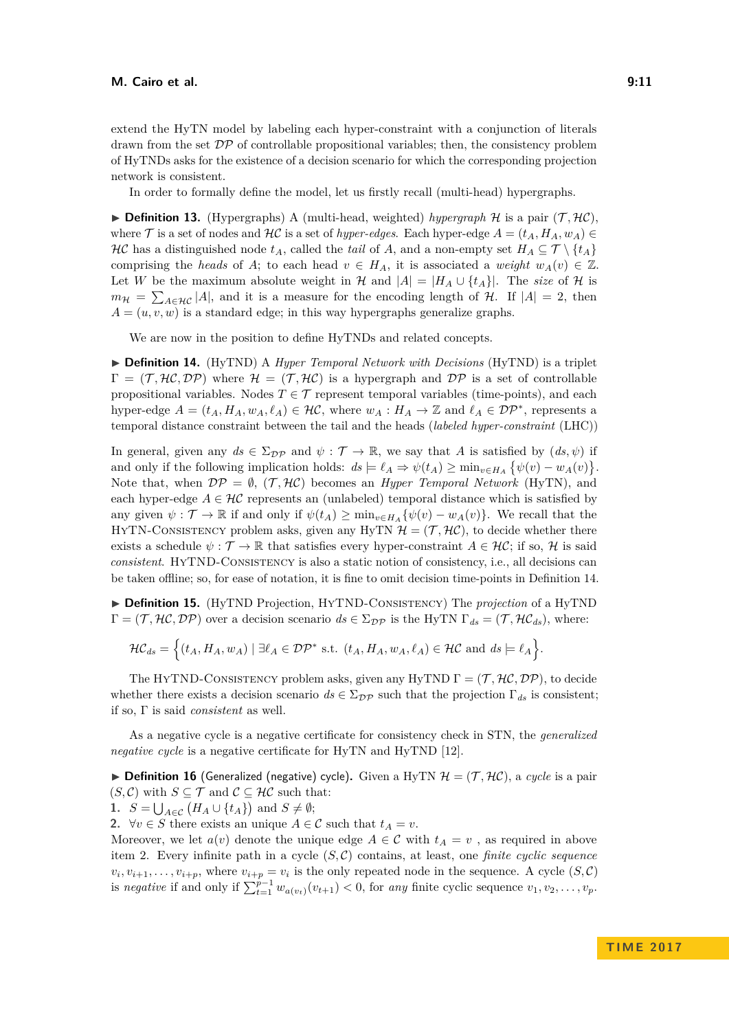extend the HyTN model by labeling each hyper-constraint with a conjunction of literals drawn from the set  $\mathcal{DP}$  of controllable propositional variables; then, the consistency problem of HyTNDs asks for the existence of a decision scenario for which the corresponding projection network is consistent.

In order to formally define the model, let us firstly recall (multi-head) hypergraphs.

**Definition 13.** (Hypergraphs) A (multi-head, weighted) *hypergraph*  $H$  is a pair  $(T, H\mathcal{C})$ , where  $\mathcal{T}$  is a set of nodes and  $\mathcal{HC}$  is a set of *hyper-edges*. Each hyper-edge  $A = (t_A, H_A, w_A) \in$  $\mathcal{HC}$  has a distinguished node  $t_A$ , called the *tail* of *A*, and a non-empty set  $H_A \subseteq \mathcal{T} \setminus \{t_A\}$ comprising the *heads* of *A*; to each head  $v \in H_A$ , it is associated a *weight*  $w_A(v) \in \mathbb{Z}$ . Let *W* be the maximum absolute weight in H and  $|A| = |H_A \cup \{t_A\}|$ . The *size* of H is  $m_{\mathcal{H}} = \sum_{A \in \mathcal{HC}} |A|$ , and it is a measure for the encoding length of H. If  $|A| = 2$ , then  $A = (u, v, w)$  is a standard edge; in this way hypergraphs generalize graphs.

We are now in the position to define HyTNDs and related concepts.

<span id="page-10-0"></span>▶ **Definition 14.** (HyTND) A *Hyper Temporal Network with Decisions* (HyTND) is a triplet  $\Gamma = (\mathcal{T}, \mathcal{HC}, \mathcal{DP})$  where  $\mathcal{H} = (\mathcal{T}, \mathcal{HC})$  is a hypergraph and  $\mathcal{DP}$  is a set of controllable propositional variables. Nodes  $T \in \mathcal{T}$  represent temporal variables (time-points), and each hyper-edge  $A = (t_A, H_A, w_A, \ell_A) \in \mathcal{HC}$ , where  $w_A : H_A \to \mathbb{Z}$  and  $\ell_A \in \mathcal{DP}^*$ , represents a temporal distance constraint between the tail and the heads (*labeled hyper-constraint* (LHC))

In general, given any  $ds \in \Sigma_{\mathcal{DP}}$  and  $\psi : \mathcal{T} \to \mathbb{R}$ , we say that *A* is satisfied by  $(ds, \psi)$  if and only if the following implication holds:  $ds \models \ell_A \Rightarrow \psi(t_A) \ge \min_{v \in H_A} {\psi(v) - w_A(v)}$ . Note that, when  $\mathcal{DP} = \emptyset$ ,  $(\mathcal{T}, \mathcal{HC})$  becomes an *Hyper Temporal Network* (HyTN), and each hyper-edge  $A \in \mathcal{HC}$  represents an (unlabeled) temporal distance which is satisfied by any given  $\psi : \mathcal{T} \to \mathbb{R}$  if and only if  $\psi(t_A) \ge \min_{v \in H_A} {\{\psi(v) - w_A(v)\}}$ . We recall that the HYTN-CONSISTENCY problem asks, given any HyTN  $\mathcal{H} = (\mathcal{T}, \mathcal{HC})$ , to decide whether there exists a schedule  $\psi : \mathcal{T} \to \mathbb{R}$  that satisfies every hyper-constraint  $A \in \mathcal{HC}$ ; if so, H is said *consistent*. HyTND-Consistency is also a static notion of consistency, i.e., all decisions can be taken offline; so, for ease of notation, it is fine to omit decision time-points in Definition [14.](#page-10-0)

<span id="page-10-1"></span>▶ **Definition 15.** (HyTND Projection, HYTND-CONSISTENCY) The *projection* of a HyTND  $\Gamma = (\mathcal{T}, \mathcal{HC}, \mathcal{DP})$  over a decision scenario  $ds \in \Sigma_{\mathcal{DP}}$  is the HyTN  $\Gamma_{ds} = (\mathcal{T}, \mathcal{HC}_{ds})$ , where:

$$
\mathcal{HC}_{ds} = \Big\{ (t_A, H_A, w_A) \mid \exists \ell_A \in \mathcal{DP}^* \text{ s.t. } (t_A, H_A, w_A, \ell_A) \in \mathcal{HC} \text{ and } ds \models \ell_A \Big\}.
$$

The HYTND-CONSISTENCY problem asks, given any HyTND  $\Gamma = (\mathcal{T}, \mathcal{HC}, \mathcal{DP})$ , to decide whether there exists a decision scenario  $ds \in \Sigma_{DP}$  such that the projection  $\Gamma_{ds}$  is consistent; if so, Γ is said *consistent* as well.

As a negative cycle is a negative certificate for consistency check in STN, the *generalized negative cycle* is a negative certificate for HyTN and HyTND [\[12\]](#page-15-7).

 $\triangleright$  **Definition 16** (Generalized (negative) cycle). Given a HyTN  $\mathcal{H} = (\mathcal{T}, \mathcal{HC})$ , a *cycle* is a pair  $(S, \mathcal{C})$  with  $S \subseteq \mathcal{T}$  and  $\mathcal{C} \subseteq \mathcal{HC}$  such that:

**1.**  $S = \bigcup_{A \in \mathcal{C}} (H_A \cup \{t_A\})$  and  $S \neq \emptyset$ ;

**2.**  $\forall v \in S$  there exists an unique  $A \in \mathcal{C}$  such that  $t_A = v$ .

Moreover, we let  $a(v)$  denote the unique edge  $A \in \mathcal{C}$  with  $t_A = v$ , as required in above item 2. Every infinite path in a cycle  $(S, \mathcal{C})$  contains, at least, one *finite cyclic sequence*  $v_i, v_{i+1}, \ldots, v_{i+p}$ , where  $v_{i+p} = v_i$  is the only repeated node in the sequence. A cycle  $(S, C)$ is *negative* if and only if  $\sum_{t=1}^{p-1} w_{a(v_t)}(v_{t+1}) < 0$ , for any finite cyclic sequence  $v_1, v_2, \ldots, v_p$ .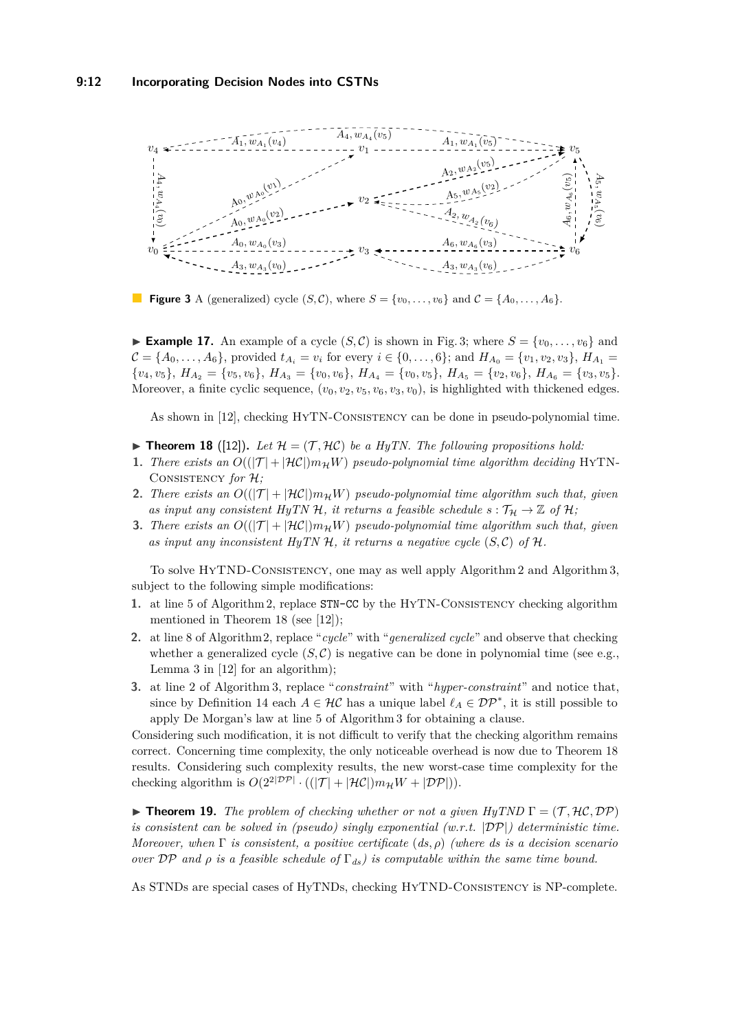<span id="page-11-0"></span>

**Figure 3** A (generalized) cycle  $(S, \mathcal{C})$ , where  $S = \{v_0, \ldots, v_6\}$  and  $\mathcal{C} = \{A_0, \ldots, A_6\}$ .

**Example 17.** An example of a cycle  $(S, \mathcal{C})$  is shown in [Fig. 3;](#page-11-0) where  $S = \{v_0, \ldots, v_6\}$  and  $\mathcal{C} = \{A_0, \ldots, A_6\}$ , provided  $t_{A_i} = v_i$  for every  $i \in \{0, \ldots, 6\}$ ; and  $H_{A_0} = \{v_1, v_2, v_3\}$ ,  $H_{A_1} =$  $\{v_4, v_5\}, H_{A_2} = \{v_5, v_6\}, H_{A_3} = \{v_0, v_6\}, H_{A_4} = \{v_0, v_5\}, H_{A_5} = \{v_2, v_6\}, H_{A_6} = \{v_3, v_5\}.$ Moreover, a finite cyclic sequence,  $(v_0, v_2, v_5, v_6, v_3, v_0)$ , is highlighted with thickened edges.

As shown in [\[12\]](#page-15-7), checking HyTN-Consistency can be done in pseudo-polynomial time.

- <span id="page-11-1"></span> $\triangleright$  **Theorem 18** ([\[12\]](#page-15-7)). Let  $\mathcal{H} = (\mathcal{T}, \mathcal{HC})$  be a HyTN. The following propositions hold:
- **1.** *There exists an*  $O((|\mathcal{T}| + |\mathcal{HC}|)m_{\mathcal{H}}W)$  *pseudo-polynomial time algorithm deciding* HyTN-CONSISTENCY *for*  $H$ *;*
- **2.** *There exists an*  $O((|\mathcal{T}| + |\mathcal{HC}|)m_{\mathcal{H}}W)$  *pseudo-polynomial time algorithm such that, given as input any consistent HyTN* H, *it returns a feasible schedule*  $s : \mathcal{T}_H \to \mathbb{Z}$  of H;
- **3.** *There exists an*  $O((|\mathcal{T}| + |\mathcal{HC}|)m_{\mathcal{H}}W)$  *pseudo-polynomial time algorithm such that, given as input any inconsistent HyTN*  $H$ *, it returns a negative cycle*  $(S, \mathcal{C})$  of  $H$ *.*

To solve HyTND-Consistency, one may as well apply [Algorithm 2](#page-9-0) and [Algorithm 3,](#page-9-1) subject to the following simple modifications:

- **1.** at line [5](#page-9-3) of [Algorithm 2,](#page-9-0) replace STN-CC by the HyTN-Consistency checking algorithm mentioned in [Theorem 18](#page-11-1) (see [\[12\]](#page-15-7));
- **2.** at line [8](#page-9-6) of [Algorithm 2,](#page-9-0) replace "*cycle*" with "*generalized cycle*" and observe that checking whether a generalized cycle  $(S, \mathcal{C})$  is negative can be done in polynomial time (see e.g., Lemma 3 in [\[12\]](#page-15-7) for an algorithm);
- **3.** at line [2](#page-9-7) of [Algorithm 3,](#page-9-1) replace "*constraint*" with "*hyper-constraint*" and notice that, since by Definition [14](#page-10-0) each  $A \in \mathcal{HC}$  has a unique label  $\ell_A \in \mathcal{DP}^*$ , it is still possible to apply De Morgan's law at line [5](#page-9-8) of [Algorithm 3](#page-9-1) for obtaining a clause.

Considering such modification, it is not difficult to verify that the checking algorithm remains correct. Concerning time complexity, the only noticeable overhead is now due to [Theorem 18](#page-11-1) results. Considering such complexity results, the new worst-case time complexity for the checking algorithm is  $O(2^{2|\mathcal{DP}|} \cdot ((|\mathcal{T}| + |\mathcal{HC}|) m_{\mathcal{H}}W + |\mathcal{DP}|)).$ 

<span id="page-11-2"></span>**Figure 19.** *The problem of checking whether or not a given HyTND*  $\Gamma = (\mathcal{T}, \mathcal{HC}, \mathcal{DP})$ *is consistent can be solved in (pseudo) singly exponential (w.r.t.* |DP|*) deterministic time. Moreover, when* Γ *is consistent, a positive certificate* (*ds, ρ*) *(where ds is a decision scenario over*  $DP$  *and*  $\rho$  *is a feasible schedule of*  $\Gamma_{ds}$ *) is computable within the same time bound.* 

As STNDs are special cases of HyTNDs, checking HyTND-Consistency is NP-complete.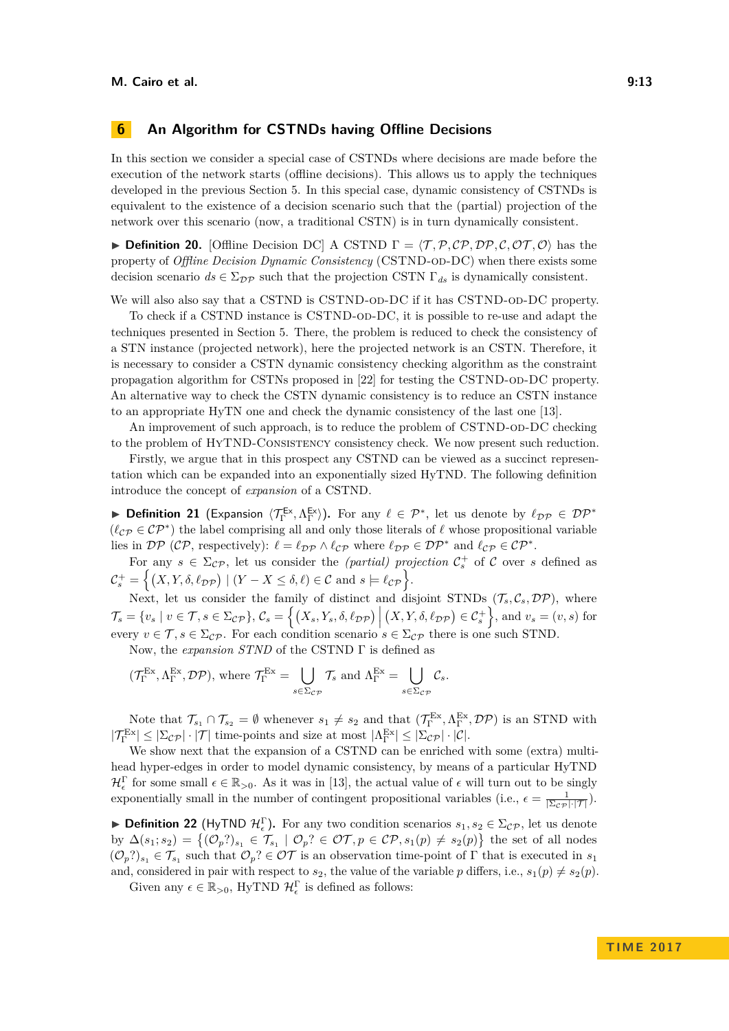## **6 An Algorithm for CSTNDs having Offline Decisions**

In this section we consider a special case of CSTNDs where decisions are made before the execution of the network starts (offline decisions). This allows us to apply the techniques developed in the previous Section [5.](#page-8-0) In this special case, dynamic consistency of CSTNDs is equivalent to the existence of a decision scenario such that the (partial) projection of the network over this scenario (now, a traditional CSTN) is in turn dynamically consistent.

<span id="page-12-0"></span>**Definition 20.** [Offline Decision DC] A CSTND  $\Gamma = \langle \mathcal{T}, \mathcal{P}, \mathcal{CP}, \mathcal{DP}, \mathcal{C}, \mathcal{OT}, \mathcal{O} \rangle$  has the property of *Offline Decision Dynamic Consistency* (CSTND-od-DC) when there exists some decision scenario  $ds \in \Sigma_{\mathcal{DP}}$  such that the projection CSTN  $\Gamma_{ds}$  is dynamically consistent.

We will also also say that a CSTND is CSTND-OD-DC if it has CSTND-OD-DC property.

To check if a CSTND instance is CSTND-OD-DC, it is possible to re-use and adapt the techniques presented in Section [5.](#page-8-0) There, the problem is reduced to check the consistency of a STN instance (projected network), here the projected network is an CSTN. Therefore, it is necessary to consider a CSTN dynamic consistency checking algorithm as the constraint propagation algorithm for CSTNs proposed in [\[22\]](#page-16-4) for testing the CSTND-OD-DC property. An alternative way to check the CSTN dynamic consistency is to reduce an CSTN instance to an appropriate HyTN one and check the dynamic consistency of the last one [\[13\]](#page-15-8).

An improvement of such approach, is to reduce the problem of CSTND-OD-DC checking to the problem of HyTND-Consistency consistency check. We now present such reduction.

Firstly, we argue that in this prospect any CSTND can be viewed as a succinct representation which can be expanded into an exponentially sized HyTND. The following definition introduce the concept of *expansion* of a CSTND.

**Definition 21** (Expansion  $\langle \mathcal{T}_{\Gamma}^{Ex}, \Lambda_{\Gamma}^{Ex} \rangle$ ). For any  $\ell \in \mathcal{P}^*$ , let us denote by  $\ell_{\mathcal{DP}} \in \mathcal{DP}^*$  $(\ell_{\mathcal{CP}} \in \mathcal{CP}^*)$  the label comprising all and only those literals of  $\ell$  whose propositional variable lies in  $\mathcal{DP}(\mathcal{CP}, \text{respectively})$ :  $\ell = \ell_{\mathcal{DP}} \wedge \ell_{\mathcal{CP}}$  where  $\ell_{\mathcal{DP}} \in \mathcal{DP}^*$  and  $\ell_{\mathcal{CP}} \in \mathcal{CP}^*$ .

For any  $s \in \Sigma_{\mathcal{CP}}$ , let us consider the *(partial) projection*  $\mathcal{C}_s^+$  of  $\mathcal C$  over *s* defined as  $\mathcal{C}_s^+ = \left\{ (X, Y, \delta, \ell_{\mathcal{DP}}) \mid (Y - X \leq \delta, \ell) \in \mathcal{C} \text{ and } s \models \ell_{\mathcal{CP}} \right\}.$ 

Next, let us consider the family of distinct and disjoint STNDs  $(\mathcal{T}_s, \mathcal{C}_s, \mathcal{DP})$ , where  $\mathcal{T}_s = \{v_s \mid v \in \mathcal{T}, s \in \Sigma_{\mathcal{CP}}\}, \mathcal{C}_s = \left\{ (X_s, Y_s, \delta, \ell_{\mathcal{DP}}) \middle| \right\}$  $(X, Y, \delta, \ell_{\mathcal{DP}}) \in C_s^+$ , and  $v_s = (v, s)$  for every  $v \in \mathcal{T}, s \in \Sigma_{\mathcal{CP}}$ . For each condition scenario  $s \in \Sigma_{\mathcal{CP}}$  there is one such STND.

Now, the *expansion STND* of the CSTND Γ is defined as

$$
(\mathcal{T}_{\Gamma}^{\text{Ex}}, \Lambda_{\Gamma}^{\text{Ex}}, \mathcal{DP}), \text{ where } \mathcal{T}_{\Gamma}^{\text{Ex}} = \bigcup_{s \in \Sigma_{\mathcal{CP}}} \mathcal{T}_{s} \text{ and } \Lambda_{\Gamma}^{\text{Ex}} = \bigcup_{s \in \Sigma_{\mathcal{CP}}} \mathcal{C}_{s}.
$$

Note that  $\mathcal{T}_{s_1} \cap \mathcal{T}_{s_2} = \emptyset$  whenever  $s_1 \neq s_2$  and that  $(\mathcal{T}_{\Gamma}^{\text{Ex}}, \Lambda_{\Gamma}^{\text{Ex}}, \mathcal{DP})$  is an STND with  $|\mathcal{T}_{\Gamma}^{\text{Ex}}| \leq |\Sigma_{\mathcal{CP}}| \cdot |\mathcal{T}|$  time-points and size at most  $|\Lambda_{\Gamma}^{\text{Ex}}| \leq |\Sigma_{\mathcal{CP}}| \cdot |\mathcal{C}|$ .

We show next that the expansion of a CSTND can be enriched with some (extra) multihead hyper-edges in order to model dynamic consistency, by means of a particular HyTND  $\mathcal{H}_{\epsilon}^{\Gamma}$  for some small  $\epsilon \in \mathbb{R}_{>0}$ . As it was in [\[13\]](#page-15-8), the actual value of  $\epsilon$  will turn out to be singly exponentially small in the number of contingent propositional variables (i.e.,  $\epsilon = \frac{1}{|\Sigma_{\mathcal{CP}}| \cdot |\mathcal{T}|}$ ).

<span id="page-12-1"></span>**Definition 22** (HyTND  $\mathcal{H}_{\epsilon}^{\Gamma}$ ). For any two condition scenarios  $s_1, s_2 \in \Sigma_{\mathcal{CP}}$ , let us denote  $\mathcal{L}(s_1; s_2) = \{(\mathcal{O}_p?)_{s_1} \in \mathcal{T}_{s_1} \mid \mathcal{O}_p? \in \mathcal{OT}, p \in \mathcal{CP}, s_1(p) \neq s_2(p)\}\$  the set of all nodes  $(\mathcal{O}_p?)_{s_1} \in \mathcal{T}_{s_1}$  such that  $\mathcal{O}_p? \in \mathcal{OT}$  is an observation time-point of  $\Gamma$  that is executed in  $s_1$ and, considered in pair with respect to  $s_2$ , the value of the variable *p* differs, i.e.,  $s_1(p) \neq s_2(p)$ .

Given any  $\epsilon \in \mathbb{R}_{>0}$ , HyTND  $\mathcal{H}_{\epsilon}^{\Gamma}$  is defined as follows: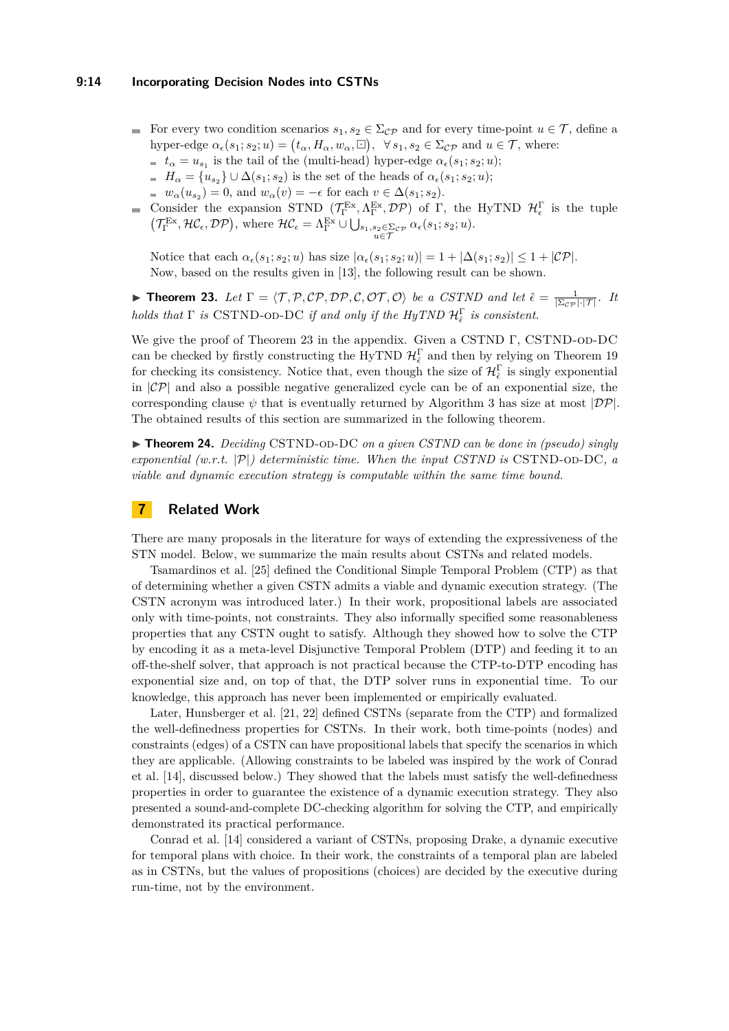#### **9:14 Incorporating Decision Nodes into CSTNs**

- For every two condition scenarios  $s_1, s_2 \in \Sigma_{\mathcal{CP}}$  and for every time-point  $u \in \mathcal{T}$ , define a hyper-edge  $\alpha_{\epsilon}(s_1; s_2; u) = (t_{\alpha}, H_{\alpha}, w_{\alpha}, \Box), \forall s_1, s_2 \in \Sigma_{\mathcal{CP}}$  and  $u \in \mathcal{T}$ , where:
	- $t_{\alpha} = u_{s_1}$  is the tail of the (multi-head) hyper-edge  $\alpha_{\epsilon}(s_1; s_2; u)$ ;
	- *H*<sub>α</sub> = { $u_{s_2}$ }  $\cup$   $\Delta(s_1; s_2)$  is the set of the heads of  $\alpha_{\epsilon}(s_1; s_2; u)$ ;
	- $w_{\alpha}(u_{s_2}) = 0$ , and  $w_{\alpha}(v) = -\epsilon$  for each  $v \in \Delta(s_1; s_2)$ .
- Consider the expansion STND  $(\mathcal{T}_{\Gamma}^{Ex}, \Lambda_{\Gamma}^{Ex}, \mathcal{DP})$  of  $\Gamma$ , the HyTND  $\mathcal{H}_{\epsilon}^{\Gamma}$  is the tuple  $(\mathcal{T}_{\Gamma}^{\text{Ex}}, \mathcal{HC}_{\epsilon}, \mathcal{DP})$ , where  $\mathcal{HC}_{\epsilon} = \Lambda_{\Gamma}^{\text{Ex}} \cup \bigcup_{s_1, s_2 \in \Sigma_{\mathcal{CP}}} \alpha_{\epsilon}(s_1; s_2; u)$ .

Notice that each  $\alpha_{\epsilon}(s_1; s_2; u)$  has size  $|\alpha_{\epsilon}(s_1; s_2; u)| = 1 + |\Delta(s_1; s_2)| \leq 1 + |\mathcal{CP}|$ . Now, based on the results given in [\[13\]](#page-15-8), the following result can be shown.

<span id="page-13-0"></span>**Findmark 123.** Let  $\Gamma = \langle T, P, CP, DP, C, OT, O \rangle$  be a CSTND and let  $\hat{\epsilon} = \frac{1}{|\Sigma_{CP}| \cdot |\mathcal{T}|}$ . It *holds that*  $\Gamma$  *is* CSTND-OD-DC *if and only if the HyTND*  $\mathcal{H}_{\hat{\epsilon}}^{\Gamma}$  *is consistent.* 

We give the proof of [Theorem 23](#page-13-0) in the appendix. Given a CSTND  $\Gamma$ , CSTND-od-DC can be checked by firstly constructing the HyTND  $\mathcal{H}_{\hat{\epsilon}}^{\Gamma}$  and then by relying on [Theorem 19](#page-11-2) for checking its consistency. Notice that, even though the size of  $\mathcal{H}_{\hat{\epsilon}}^{\Gamma}$  is singly exponential in  $|\mathcal{CP}|$  and also a possible negative generalized cycle can be of an exponential size, the corresponding clause  $\psi$  that is eventually returned by Algorithm [3](#page-9-1) has size at most  $|\mathcal{DP}|$ . The obtained results of this section are summarized in the following theorem.

► **Theorem 24.** *Deciding* CSTND-od-DC *on a given CSTND can be done in (pseudo) singly exponential (w.r.t.*  $|\mathcal{P}|$ ) deterministic time. When the input CSTND is CSTND-OD-DC, a *viable and dynamic execution strategy is computable within the same time bound.*

# **7 Related Work**

There are many proposals in the literature for ways of extending the expressiveness of the STN model. Below, we summarize the main results about CSTNs and related models.

Tsamardinos et al. [\[25\]](#page-16-5) defined the Conditional Simple Temporal Problem (CTP) as that of determining whether a given CSTN admits a viable and dynamic execution strategy. (The CSTN acronym was introduced later.) In their work, propositional labels are associated only with time-points, not constraints. They also informally specified some reasonableness properties that any CSTN ought to satisfy. Although they showed how to solve the CTP by encoding it as a meta-level Disjunctive Temporal Problem (DTP) and feeding it to an off-the-shelf solver, that approach is not practical because the CTP-to-DTP encoding has exponential size and, on top of that, the DTP solver runs in exponential time. To our knowledge, this approach has never been implemented or empirically evaluated.

Later, Hunsberger et al. [\[21,](#page-16-6) [22\]](#page-16-4) defined CSTNs (separate from the CTP) and formalized the well-definedness properties for CSTNs. In their work, both time-points (nodes) and constraints (edges) of a CSTN can have propositional labels that specify the scenarios in which they are applicable. (Allowing constraints to be labeled was inspired by the work of Conrad et al. [\[14\]](#page-16-7), discussed below.) They showed that the labels must satisfy the well-definedness properties in order to guarantee the existence of a dynamic execution strategy. They also presented a sound-and-complete DC-checking algorithm for solving the CTP, and empirically demonstrated its practical performance.

Conrad et al. [\[14\]](#page-16-7) considered a variant of CSTNs, proposing Drake, a dynamic executive for temporal plans with choice. In their work, the constraints of a temporal plan are labeled as in CSTNs, but the values of propositions (choices) are decided by the executive during run-time, not by the environment.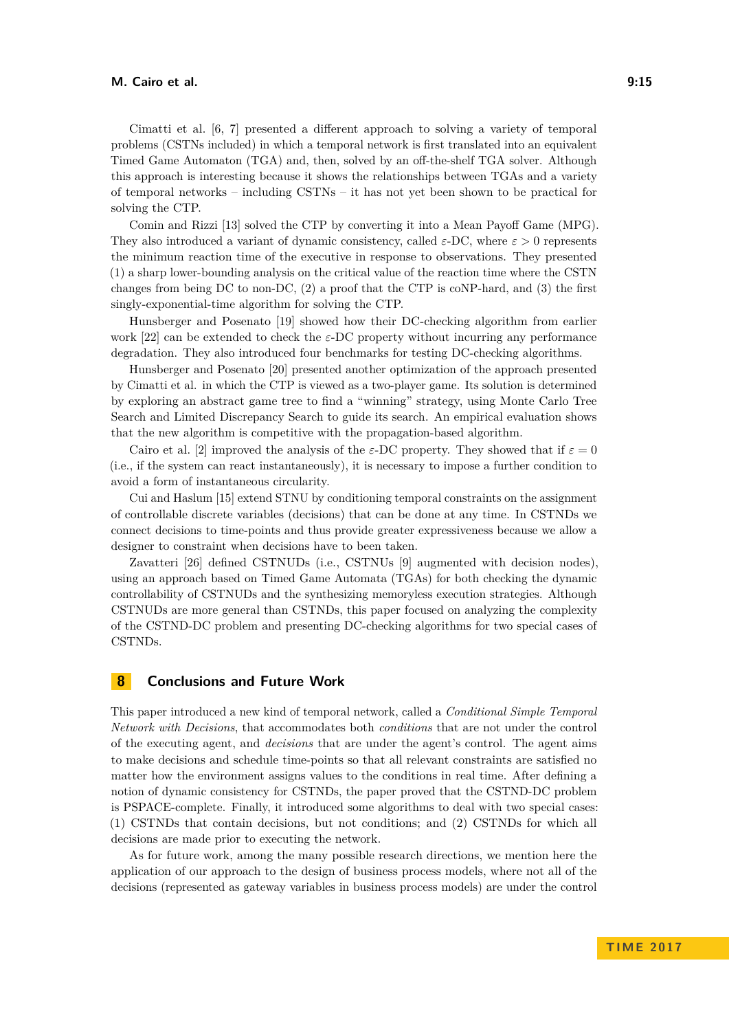#### **M. Cairo et al. 9:15**

Cimatti et al. [\[6,](#page-15-9) [7\]](#page-15-10) presented a different approach to solving a variety of temporal problems (CSTNs included) in which a temporal network is first translated into an equivalent Timed Game Automaton (TGA) and, then, solved by an off-the-shelf TGA solver. Although this approach is interesting because it shows the relationships between TGAs and a variety of temporal networks – including CSTNs – it has not yet been shown to be practical for solving the CTP.

Comin and Rizzi [\[13\]](#page-15-8) solved the CTP by converting it into a Mean Payoff Game (MPG). They also introduced a variant of dynamic consistency, called  $\varepsilon$ -DC, where  $\varepsilon > 0$  represents the minimum reaction time of the executive in response to observations. They presented (1) a sharp lower-bounding analysis on the critical value of the reaction time where the CSTN changes from being DC to non-DC,  $(2)$  a proof that the CTP is coNP-hard, and  $(3)$  the first singly-exponential-time algorithm for solving the CTP.

Hunsberger and Posenato [\[19\]](#page-16-9) showed how their DC-checking algorithm from earlier work [\[22\]](#page-16-4) can be extended to check the *ε*-DC property without incurring any performance degradation. They also introduced four benchmarks for testing DC-checking algorithms.

Hunsberger and Posenato [\[20\]](#page-16-10) presented another optimization of the approach presented by Cimatti et al. in which the CTP is viewed as a two-player game. Its solution is determined by exploring an abstract game tree to find a "winning" strategy, using Monte Carlo Tree Search and Limited Discrepancy Search to guide its search. An empirical evaluation shows that the new algorithm is competitive with the propagation-based algorithm.

Cairo et al. [\[2\]](#page-15-11) improved the analysis of the *ε*-DC property. They showed that if  $\varepsilon = 0$ (i.e., if the system can react instantaneously), it is necessary to impose a further condition to avoid a form of instantaneous circularity.

Cui and Haslum [\[15\]](#page-16-11) extend STNU by conditioning temporal constraints on the assignment of controllable discrete variables (decisions) that can be done at any time. In CSTNDs we connect decisions to time-points and thus provide greater expressiveness because we allow a designer to constraint when decisions have to been taken.

Zavatteri [\[26\]](#page-16-12) defined CSTNUDs (i.e., CSTNUs [\[9\]](#page-15-12) augmented with decision nodes), using an approach based on Timed Game Automata (TGAs) for both checking the dynamic controllability of CSTNUDs and the synthesizing memoryless execution strategies. Although CSTNUDs are more general than CSTNDs, this paper focused on analyzing the complexity of the CSTND-DC problem and presenting DC-checking algorithms for two special cases of CSTNDs.

# **8 Conclusions and Future Work**

This paper introduced a new kind of temporal network, called a *Conditional Simple Temporal Network with Decisions*, that accommodates both *conditions* that are not under the control of the executing agent, and *decisions* that are under the agent's control. The agent aims to make decisions and schedule time-points so that all relevant constraints are satisfied no matter how the environment assigns values to the conditions in real time. After defining a notion of dynamic consistency for CSTNDs, the paper proved that the CSTND-DC problem is PSPACE-complete. Finally, it introduced some algorithms to deal with two special cases: (1) CSTNDs that contain decisions, but not conditions; and (2) CSTNDs for which all decisions are made prior to executing the network.

As for future work, among the many possible research directions, we mention here the application of our approach to the design of business process models, where not all of the decisions (represented as gateway variables in business process models) are under the control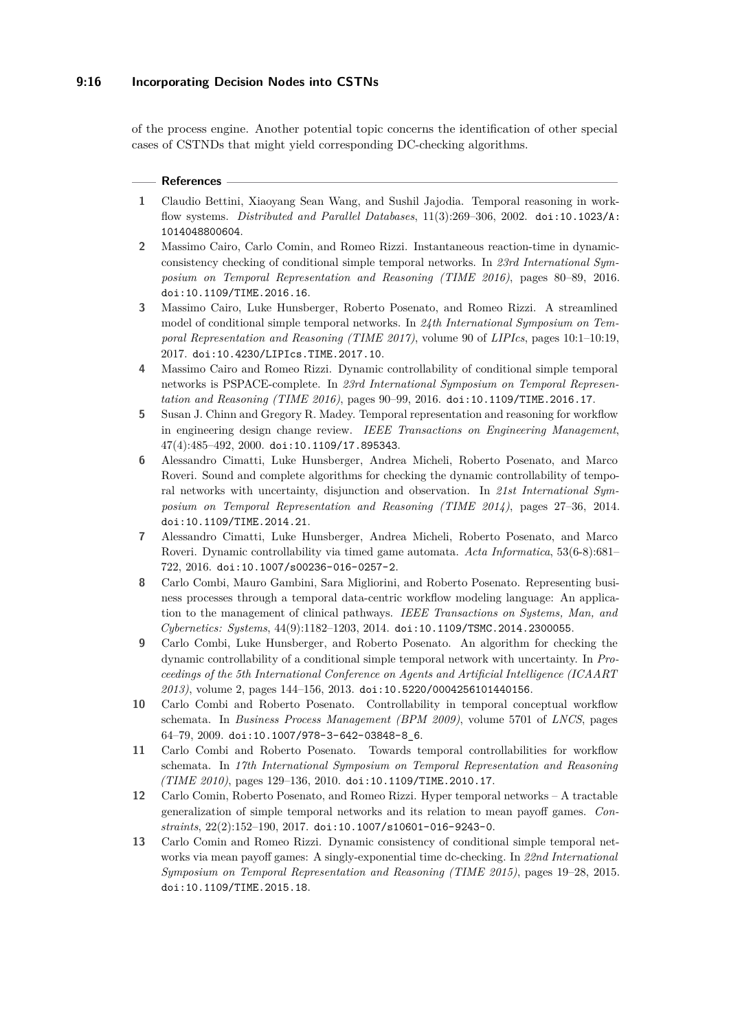## **9:16 Incorporating Decision Nodes into CSTNs**

of the process engine. Another potential topic concerns the identification of other special cases of CSTNDs that might yield corresponding DC-checking algorithms.

#### **References**

- <span id="page-15-0"></span>**1** Claudio Bettini, Xiaoyang Sean Wang, and Sushil Jajodia. Temporal reasoning in workflow systems. *Distributed and Parallel Databases*, 11(3):269–306, 2002. [doi:10.1023/A:](http://dx.doi.org/10.1023/A:1014048800604) [1014048800604](http://dx.doi.org/10.1023/A:1014048800604).
- <span id="page-15-11"></span>**2** Massimo Cairo, Carlo Comin, and Romeo Rizzi. Instantaneous reaction-time in dynamicconsistency checking of conditional simple temporal networks. In *23rd International Symposium on Temporal Representation and Reasoning (TIME 2016)*, pages 80–89, 2016. [doi:10.1109/TIME.2016.16](http://dx.doi.org/10.1109/TIME.2016.16).
- <span id="page-15-5"></span>**3** Massimo Cairo, Luke Hunsberger, Roberto Posenato, and Romeo Rizzi. A streamlined model of conditional simple temporal networks. In *24th International Symposium on Temporal Representation and Reasoning (TIME 2017)*, volume 90 of *LIPIcs*, pages 10:1–10:19, 2017. [doi:10.4230/LIPIcs.TIME.2017.10](http://dx.doi.org/10.4230/LIPIcs.TIME.2017.10).
- <span id="page-15-6"></span>**4** Massimo Cairo and Romeo Rizzi. Dynamic controllability of conditional simple temporal networks is PSPACE-complete. In *23rd International Symposium on Temporal Representation and Reasoning (TIME 2016)*, pages 90–99, 2016. [doi:10.1109/TIME.2016.17](http://dx.doi.org/10.1109/TIME.2016.17).
- <span id="page-15-1"></span>**5** Susan J. Chinn and Gregory R. Madey. Temporal representation and reasoning for workflow in engineering design change review. *IEEE Transactions on Engineering Management*, 47(4):485–492, 2000. [doi:10.1109/17.895343](http://dx.doi.org/10.1109/17.895343).
- <span id="page-15-9"></span>**6** Alessandro Cimatti, Luke Hunsberger, Andrea Micheli, Roberto Posenato, and Marco Roveri. Sound and complete algorithms for checking the dynamic controllability of temporal networks with uncertainty, disjunction and observation. In *21st International Symposium on Temporal Representation and Reasoning (TIME 2014)*, pages 27–36, 2014. [doi:10.1109/TIME.2014.21](http://dx.doi.org/10.1109/TIME.2014.21).
- <span id="page-15-10"></span>**7** Alessandro Cimatti, Luke Hunsberger, Andrea Micheli, Roberto Posenato, and Marco Roveri. Dynamic controllability via timed game automata. *Acta Informatica*, 53(6-8):681– 722, 2016. [doi:10.1007/s00236-016-0257-2](http://dx.doi.org/10.1007/s00236-016-0257-2).
- <span id="page-15-2"></span>**8** Carlo Combi, Mauro Gambini, Sara Migliorini, and Roberto Posenato. Representing business processes through a temporal data-centric workflow modeling language: An application to the management of clinical pathways. *IEEE Transactions on Systems, Man, and Cybernetics: Systems*, 44(9):1182–1203, 2014. [doi:10.1109/TSMC.2014.2300055](http://dx.doi.org/10.1109/TSMC.2014.2300055).
- <span id="page-15-12"></span>**9** Carlo Combi, Luke Hunsberger, and Roberto Posenato. An algorithm for checking the dynamic controllability of a conditional simple temporal network with uncertainty. In *Proceedings of the 5th International Conference on Agents and Artificial Intelligence (ICAART 2013)*, volume 2, pages 144–156, 2013. [doi:10.5220/0004256101440156](http://dx.doi.org/10.5220/0004256101440156).
- <span id="page-15-3"></span>**10** Carlo Combi and Roberto Posenato. Controllability in temporal conceptual workflow schemata. In *Business Process Management (BPM 2009)*, volume 5701 of *LNCS*, pages 64–79, 2009. [doi:10.1007/978-3-642-03848-8\\_6](http://dx.doi.org/10.1007/978-3-642-03848-8_6).
- <span id="page-15-4"></span>**11** Carlo Combi and Roberto Posenato. Towards temporal controllabilities for workflow schemata. In *17th International Symposium on Temporal Representation and Reasoning (TIME 2010)*, pages 129–136, 2010. [doi:10.1109/TIME.2010.17](http://dx.doi.org/10.1109/TIME.2010.17).
- <span id="page-15-7"></span>**12** Carlo Comin, Roberto Posenato, and Romeo Rizzi. Hyper temporal networks – A tractable generalization of simple temporal networks and its relation to mean payoff games. *Constraints*, 22(2):152–190, 2017. [doi:10.1007/s10601-016-9243-0](http://dx.doi.org/10.1007/s10601-016-9243-0).
- <span id="page-15-8"></span>**13** Carlo Comin and Romeo Rizzi. Dynamic consistency of conditional simple temporal networks via mean payoff games: A singly-exponential time dc-checking. In *22nd International Symposium on Temporal Representation and Reasoning (TIME 2015)*, pages 19–28, 2015. [doi:10.1109/TIME.2015.18](http://dx.doi.org/10.1109/TIME.2015.18).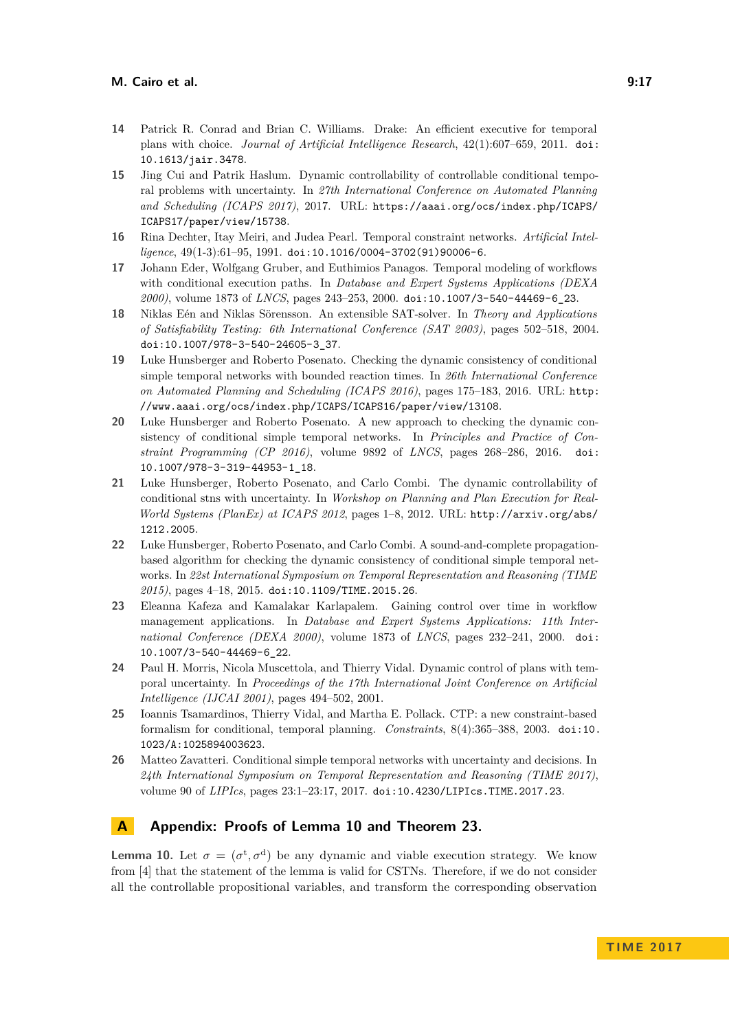- <span id="page-16-7"></span>**14** Patrick R. Conrad and Brian C. Williams. Drake: An efficient executive for temporal plans with choice. *Journal of Artificial Intelligence Research*, 42(1):607–659, 2011. [doi:](http://dx.doi.org/10.1613/jair.3478) [10.1613/jair.3478](http://dx.doi.org/10.1613/jair.3478).
- <span id="page-16-11"></span>**15** Jing Cui and Patrik Haslum. Dynamic controllability of controllable conditional temporal problems with uncertainty. In *27th International Conference on Automated Planning and Scheduling (ICAPS 2017)*, 2017. URL: [https://aaai.org/ocs/index.php/ICAPS/](https://aaai.org/ocs/index.php/ICAPS/ICAPS17/paper/view/15738) [ICAPS17/paper/view/15738](https://aaai.org/ocs/index.php/ICAPS/ICAPS17/paper/view/15738).
- <span id="page-16-2"></span>**16** Rina Dechter, Itay Meiri, and Judea Pearl. Temporal constraint networks. *Artificial Intelligence*, 49(1-3):61–95, 1991. [doi:10.1016/0004-3702\(91\)90006-6](http://dx.doi.org/10.1016/0004-3702(91)90006-6).
- <span id="page-16-0"></span>**17** Johann Eder, Wolfgang Gruber, and Euthimios Panagos. Temporal modeling of workflows with conditional execution paths. In *Database and Expert Systems Applications (DEXA 2000)*, volume 1873 of *LNCS*, pages 243–253, 2000. [doi:10.1007/3-540-44469-6\\_23](http://dx.doi.org/10.1007/3-540-44469-6_23).
- <span id="page-16-8"></span>**18** Niklas Eén and Niklas Sörensson. An extensible SAT-solver. In *Theory and Applications of Satisfiability Testing: 6th International Conference (SAT 2003)*, pages 502–518, 2004. [doi:10.1007/978-3-540-24605-3\\_37](http://dx.doi.org/10.1007/978-3-540-24605-3_37).
- <span id="page-16-9"></span>**19** Luke Hunsberger and Roberto Posenato. Checking the dynamic consistency of conditional simple temporal networks with bounded reaction times. In *26th International Conference on Automated Planning and Scheduling (ICAPS 2016)*, pages 175–183, 2016. URL: [http:](http://www.aaai.org/ocs/index.php/ICAPS/ICAPS16/paper/view/13108) [//www.aaai.org/ocs/index.php/ICAPS/ICAPS16/paper/view/13108](http://www.aaai.org/ocs/index.php/ICAPS/ICAPS16/paper/view/13108).
- <span id="page-16-10"></span>**20** Luke Hunsberger and Roberto Posenato. A new approach to checking the dynamic consistency of conditional simple temporal networks. In *Principles and Practice of Constraint Programming (CP 2016)*, volume 9892 of *LNCS*, pages 268–286, 2016. [doi:](http://dx.doi.org/10.1007/978-3-319-44953-1_18) [10.1007/978-3-319-44953-1\\_18](http://dx.doi.org/10.1007/978-3-319-44953-1_18).
- <span id="page-16-6"></span>**21** Luke Hunsberger, Roberto Posenato, and Carlo Combi. The dynamic controllability of conditional stns with uncertainty. In *Workshop on Planning and Plan Execution for Real-World Systems (PlanEx) at ICAPS 2012*, pages 1–8, 2012. URL: [http://arxiv.org/abs/](http://arxiv.org/abs/1212.2005) [1212.2005](http://arxiv.org/abs/1212.2005).
- <span id="page-16-4"></span>**22** Luke Hunsberger, Roberto Posenato, and Carlo Combi. A sound-and-complete propagationbased algorithm for checking the dynamic consistency of conditional simple temporal networks. In *22st International Symposium on Temporal Representation and Reasoning (TIME 2015)*, pages 4–18, 2015. [doi:10.1109/TIME.2015.26](http://dx.doi.org/10.1109/TIME.2015.26).
- <span id="page-16-1"></span>**23** Eleanna Kafeza and Kamalakar Karlapalem. Gaining control over time in workflow management applications. In *Database and Expert Systems Applications: 11th International Conference (DEXA 2000)*, volume 1873 of *LNCS*, pages 232–241, 2000. [doi:](http://dx.doi.org/10.1007/3-540-44469-6_22) [10.1007/3-540-44469-6\\_22](http://dx.doi.org/10.1007/3-540-44469-6_22).
- <span id="page-16-3"></span>**24** Paul H. Morris, Nicola Muscettola, and Thierry Vidal. Dynamic control of plans with temporal uncertainty. In *Proceedings of the 17th International Joint Conference on Artificial Intelligence (IJCAI 2001)*, pages 494–502, 2001.
- <span id="page-16-5"></span>**25** Ioannis Tsamardinos, Thierry Vidal, and Martha E. Pollack. CTP: a new constraint-based formalism for conditional, temporal planning. *Constraints*, 8(4):365–388, 2003. [doi:10.](http://dx.doi.org/10.1023/A:1025894003623) [1023/A:1025894003623](http://dx.doi.org/10.1023/A:1025894003623).
- <span id="page-16-12"></span>**26** Matteo Zavatteri. Conditional simple temporal networks with uncertainty and decisions. In *24th International Symposium on Temporal Representation and Reasoning (TIME 2017)*, volume 90 of *LIPIcs*, pages 23:1–23:17, 2017. [doi:10.4230/LIPIcs.TIME.2017.23](http://dx.doi.org/10.4230/LIPIcs.TIME.2017.23).

## **A Appendix: Proofs of Lemma [10](#page-6-1) and [Theorem 23.](#page-13-0)**

**Lemma [10.](#page-6-1)** Let  $\sigma = (\sigma^t, \sigma^d)$  be any dynamic and viable execution strategy. We know from [\[4\]](#page-15-6) that the statement of the lemma is valid for CSTNs. Therefore, if we do not consider all the controllable propositional variables, and transform the corresponding observation